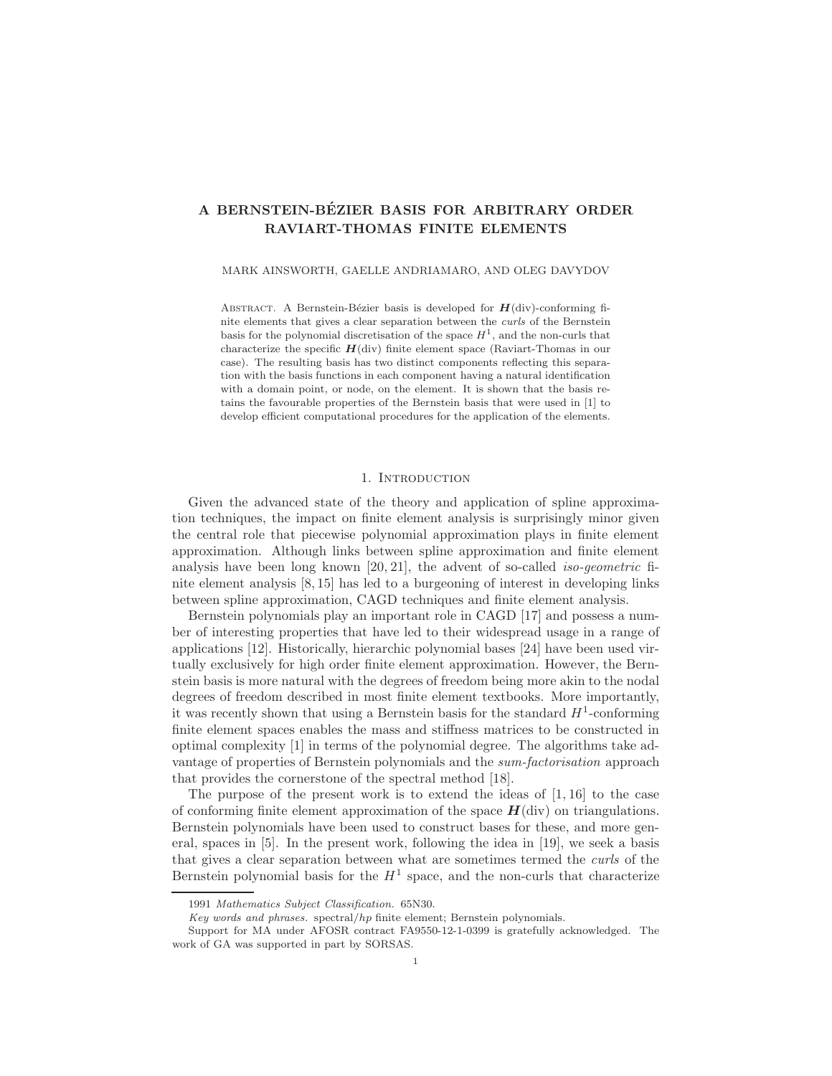# A BERNSTEIN-BÉZIER BASIS FOR ARBITRARY ORDER RAVIART-THOMAS FINITE ELEMENTS

#### MARK AINSWORTH, GAELLE ANDRIAMARO, AND OLEG DAVYDOV

ABSTRACT. A Bernstein-Bézier basis is developed for  $H(\text{div})$ -conforming finite elements that gives a clear separation between the curls of the Bernstein basis for the polynomial discretisation of the space  $H<sup>1</sup>$ , and the non-curls that characterize the specific  $H$ (div) finite element space (Raviart-Thomas in our case). The resulting basis has two distinct components reflecting this separation with the basis functions in each component having a natural identification with a domain point, or node, on the element. It is shown that the basis retains the favourable properties of the Bernstein basis that were used in [1] to develop efficient computational procedures for the application of the elements.

### 1. Introduction

Given the advanced state of the theory and application of spline approximation techniques, the impact on finite element analysis is surprisingly minor given the central role that piecewise polynomial approximation plays in finite element approximation. Although links between spline approximation and finite element analysis have been long known [20, 21], the advent of so-called iso-geometric finite element analysis [8, 15] has led to a burgeoning of interest in developing links between spline approximation, CAGD techniques and finite element analysis.

Bernstein polynomials play an important role in CAGD [17] and possess a number of interesting properties that have led to their widespread usage in a range of applications [12]. Historically, hierarchic polynomial bases [24] have been used virtually exclusively for high order finite element approximation. However, the Bernstein basis is more natural with the degrees of freedom being more akin to the nodal degrees of freedom described in most finite element textbooks. More importantly, it was recently shown that using a Bernstein basis for the standard  $H^1$ -conforming finite element spaces enables the mass and stiffness matrices to be constructed in optimal complexity [1] in terms of the polynomial degree. The algorithms take advantage of properties of Bernstein polynomials and the sum-factorisation approach that provides the cornerstone of the spectral method [18].

The purpose of the present work is to extend the ideas of  $[1, 16]$  to the case of conforming finite element approximation of the space  $H(\text{div})$  on triangulations. Bernstein polynomials have been used to construct bases for these, and more general, spaces in [5]. In the present work, following the idea in [19], we seek a basis that gives a clear separation between what are sometimes termed the *curls* of the Bernstein polynomial basis for the  $H^1$  space, and the non-curls that characterize

<sup>1991</sup> Mathematics Subject Classification. 65N30.

Key words and phrases. spectral/hp finite element; Bernstein polynomials.

Support for MA under AFOSR contract FA9550-12-1-0399 is gratefully acknowledged. The work of GA was supported in part by SORSAS.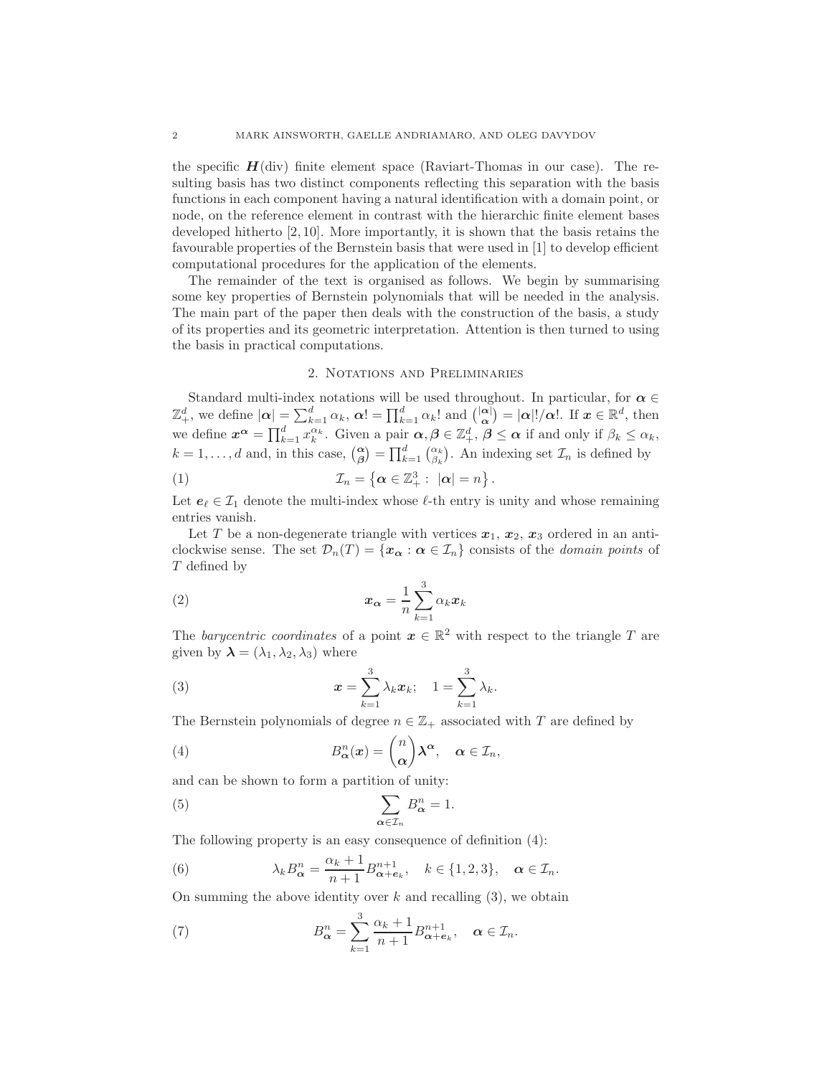the specific  $H(\text{div})$  finite element space (Raviart-Thomas in our case). The resulting basis has two distinct components reflecting this separation with the basis functions in each component having a natural identification with a domain point, or node, on the reference element in contrast with the hierarchic finite element bases developed hitherto [2, 10]. More importantly, it is shown that the basis retains the favourable properties of the Bernstein basis that were used in [1] to develop efficient computational procedures for the application of the elements.

The remainder of the text is organised as follows. We begin by summarising some key properties of Bernstein polynomials that will be needed in the analysis. The main part of the paper then deals with the construction of the basis, a study of its properties and its geometric interpretation. Attention is then turned to using the basis in practical computations.

## 2. Notations and Preliminaries

Standard multi-index notations will be used throughout. In particular, for  $\alpha \in$  $\mathbb{Z}_+^d$ , we define  $|\boldsymbol{\alpha}| = \sum_{k=1}^d \alpha_k$ ,  $\boldsymbol{\alpha}! = \prod_{k=1}^d \alpha_k!$  and  $\binom{|\boldsymbol{\alpha}|}{\boldsymbol{\alpha}} = |\boldsymbol{\alpha}|!/\boldsymbol{\alpha}!$ . If  $\boldsymbol{x} \in \mathbb{R}^d$ , then we define  $x^{\alpha} = \prod_{k=1}^{d} x_k^{\alpha_k}$ . Given a pair  $\alpha, \beta \in \mathbb{Z}_+^d$ ,  $\beta \leq \alpha$  if and only if  $\beta_k \leq \alpha_k$ ,  $k = 1, \ldots, d$  and, in this case,  $\begin{pmatrix} \alpha \\ \beta \end{pmatrix} = \prod_{k=1}^{d} \begin{pmatrix} \alpha_k \\ \beta_k \end{pmatrix}$ . An indexing set  $\mathcal{I}_n$  is defined by

(1) 
$$
\mathcal{I}_n = \left\{ \alpha \in \mathbb{Z}_+^3 : \ |\alpha| = n \right\}.
$$

Let  $e_{\ell} \in \mathcal{I}_1$  denote the multi-index whose  $\ell$ -th entry is unity and whose remaining entries vanish.

Let T be a non-degenerate triangle with vertices  $x_1, x_2, x_3$  ordered in an anticlockwise sense. The set  $\mathcal{D}_n(T) = \{x_{\alpha} : \alpha \in \mathcal{I}_n\}$  consists of the *domain points* of T defined by

(2) x<sup>α</sup> = 1 n X 3 k=1 αkx<sup>k</sup>

The barycentric coordinates of a point  $x \in \mathbb{R}^2$  with respect to the triangle T are given by  $\lambda = (\lambda_1, \lambda_2, \lambda_3)$  where

(3) 
$$
x = \sum_{k=1}^{3} \lambda_k x_k; \quad 1 = \sum_{k=1}^{3} \lambda_k.
$$

The Bernstein polynomials of degree  $n \in \mathbb{Z}_+$  associated with T are defined by

(4) 
$$
B_{\alpha}^{n}(x) = {n \choose \alpha} \lambda^{\alpha}, \quad \alpha \in \mathcal{I}_{n},
$$

and can be shown to form a partition of unity:

(5) 
$$
\sum_{\alpha \in \mathcal{I}_n} B_{\alpha}^n = 1.
$$

The following property is an easy consequence of definition (4):

(6) 
$$
\lambda_k B_{\boldsymbol{\alpha}}^n = \frac{\alpha_k + 1}{n+1} B_{\boldsymbol{\alpha} + \boldsymbol{e}_k}^{n+1}, \quad k \in \{1, 2, 3\}, \quad \boldsymbol{\alpha} \in \mathcal{I}_n.
$$

On summing the above identity over  $k$  and recalling  $(3)$ , we obtain

(7) 
$$
B_{\alpha}^{n} = \sum_{k=1}^{3} \frac{\alpha_{k} + 1}{n+1} B_{\alpha + e_{k}}^{n+1}, \quad \alpha \in \mathcal{I}_{n}.
$$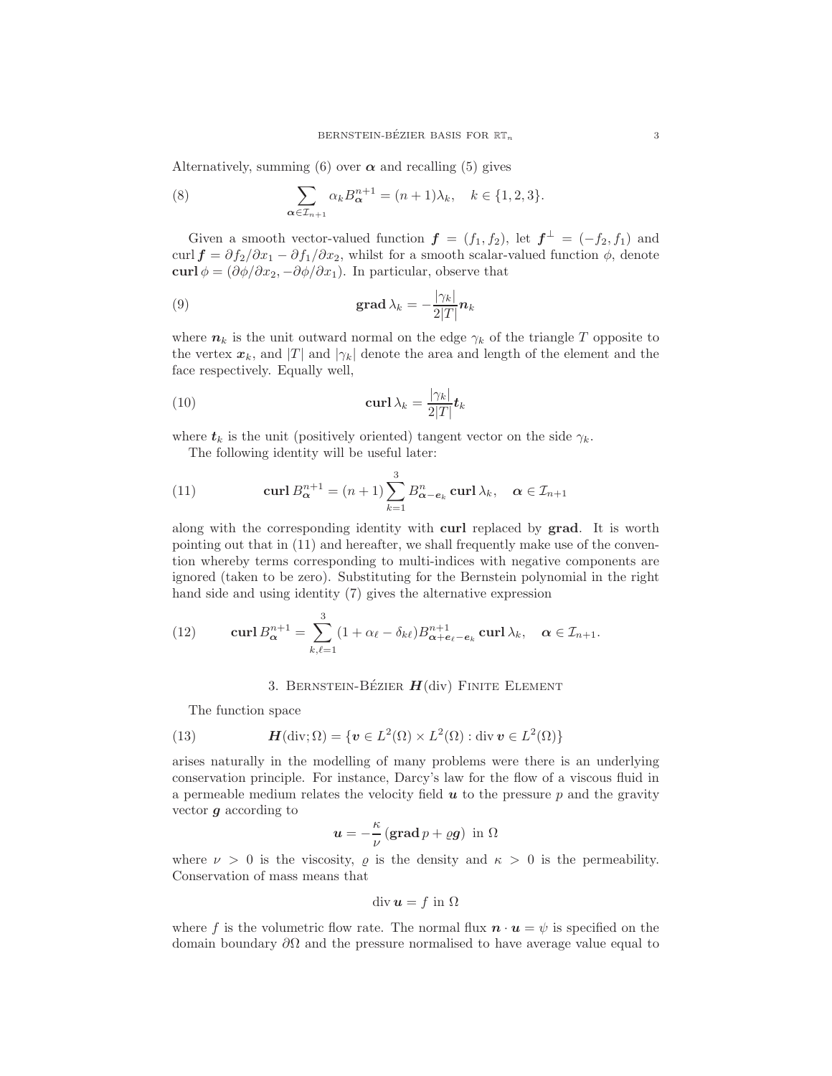Alternatively, summing (6) over  $\alpha$  and recalling (5) gives

(8) 
$$
\sum_{\alpha \in \mathcal{I}_{n+1}} \alpha_k B_{\alpha}^{n+1} = (n+1)\lambda_k, \quad k \in \{1, 2, 3\}.
$$

Given a smooth vector-valued function  $\boldsymbol{f} = (f_1, f_2)$ , let  $\boldsymbol{f}^{\perp} = (-f_2, f_1)$  and curl  $f = \partial f_2/\partial x_1 - \partial f_1/\partial x_2$ , whilst for a smooth scalar-valued function  $\phi$ , denote curl  $\phi = (\partial \phi / \partial x_2, -\partial \phi / \partial x_1)$ . In particular, observe that

(9) 
$$
\operatorname{grad} \lambda_k = -\frac{|\gamma_k|}{2|T|} n_k
$$

where  $n_k$  is the unit outward normal on the edge  $\gamma_k$  of the triangle T opposite to the vertex  $x_k$ , and |T| and  $|\gamma_k|$  denote the area and length of the element and the face respectively. Equally well,

(10) 
$$
\operatorname{curl} \lambda_k = \frac{|\gamma_k|}{2|T|} \mathbf{t}_k
$$

where  $t_k$  is the unit (positively oriented) tangent vector on the side  $\gamma_k$ .

The following identity will be useful later:

(11) 
$$
\operatorname{curl} B_{\alpha}^{n+1} = (n+1) \sum_{k=1}^{3} B_{\alpha - e_k}^{n} \operatorname{curl} \lambda_k, \quad \alpha \in \mathcal{I}_{n+1}
$$

along with the corresponding identity with curl replaced by grad. It is worth pointing out that in (11) and hereafter, we shall frequently make use of the convention whereby terms corresponding to multi-indices with negative components are ignored (taken to be zero). Substituting for the Bernstein polynomial in the right hand side and using identity (7) gives the alternative expression

(12) 
$$
\operatorname{curl} B_{\boldsymbol{\alpha}}^{n+1} = \sum_{k,\ell=1}^3 (1 + \alpha_{\ell} - \delta_{k\ell}) B_{\boldsymbol{\alpha} + \boldsymbol{e}_{\ell} - \boldsymbol{e}_k}^{n+1} \operatorname{curl} \lambda_k, \quad \boldsymbol{\alpha} \in \mathcal{I}_{n+1}.
$$

#### 3. BERNSTEIN-BÉZIER  $H(\text{div})$  FINITE ELEMENT

The function space

(13) 
$$
\mathbf{H}(\text{div};\Omega) = \{ \mathbf{v} \in L^2(\Omega) \times L^2(\Omega) : \text{div}\,\mathbf{v} \in L^2(\Omega) \}
$$

arises naturally in the modelling of many problems were there is an underlying conservation principle. For instance, Darcy's law for the flow of a viscous fluid in a permeable medium relates the velocity field  $u$  to the pressure  $p$  and the gravity vector g according to

$$
u = -\frac{\kappa}{\nu} \left( \operatorname{grad} p + \varrho g \right) \text{ in } \Omega
$$

where  $\nu > 0$  is the viscosity,  $\rho$  is the density and  $\kappa > 0$  is the permeability. Conservation of mass means that

$$
\operatorname{div}\boldsymbol{u}=f\text{ in }\Omega
$$

where f is the volumetric flow rate. The normal flux  $\mathbf{n} \cdot \mathbf{u} = \psi$  is specified on the domain boundary  $\partial\Omega$  and the pressure normalised to have average value equal to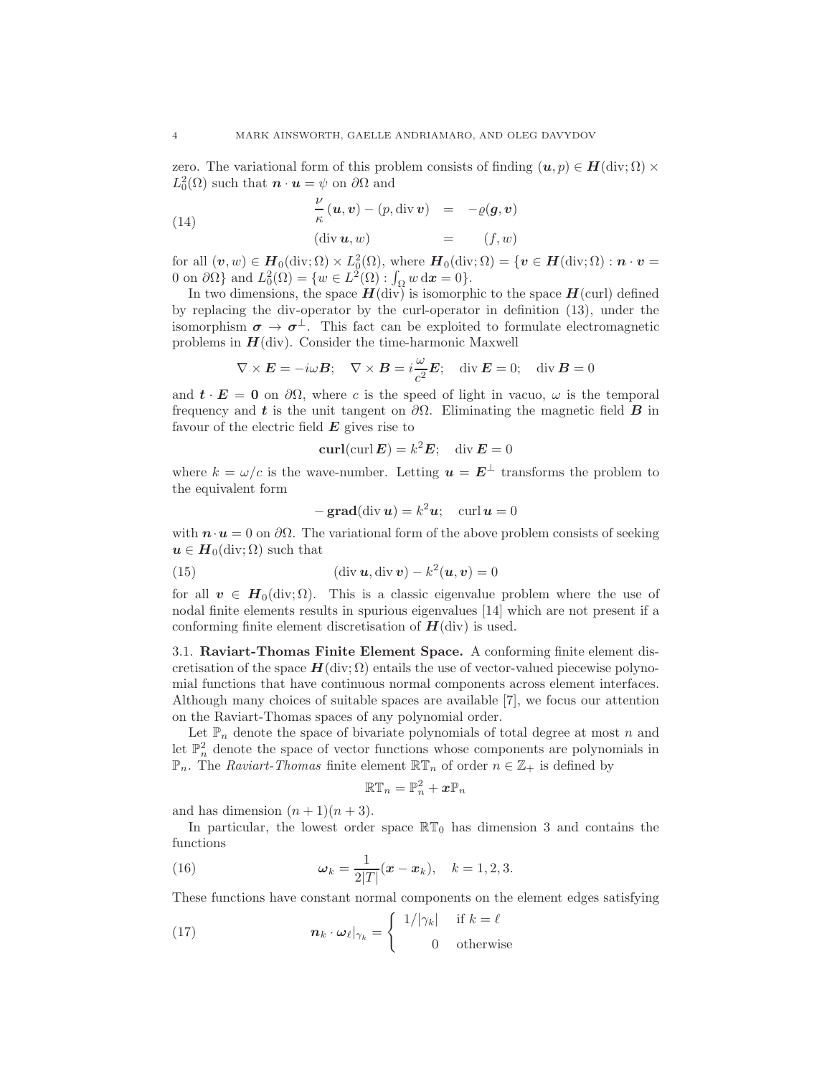zero. The variational form of this problem consists of finding  $(u, p) \in H(\text{div}; \Omega) \times$  $L_0^2(\Omega)$  such that  $\mathbf{n} \cdot \mathbf{u} = \psi$  on  $\partial \Omega$  and

(14) 
$$
\frac{\nu}{\kappa}(\boldsymbol{u}, \boldsymbol{v}) - (p, \operatorname{div} \boldsymbol{v}) = -\varrho(\boldsymbol{g}, \boldsymbol{v})
$$

$$
(\operatorname{div} \boldsymbol{u}, \boldsymbol{w}) = (f, \boldsymbol{w})
$$

for all  $(v, w) \in H_0(\text{div}; \Omega) \times L_0^2(\Omega)$ , where  $H_0(\text{div}; \Omega) = \{v \in H(\text{div}; \Omega) : n \cdot v =$ 0 on  $\partial\Omega$ } and  $L_0^2(\Omega) = \{w \in L^2(\Omega) : \int_{\Omega} w \,dx = 0\}.$ 

In two dimensions, the space  $H(\text{div})$  is isomorphic to the space  $H(\text{curl})$  defined by replacing the div-operator by the curl-operator in definition (13), under the isomorphism  $\sigma \to \sigma^{\perp}$ . This fact can be exploited to formulate electromagnetic problems in  $H(\text{div})$ . Consider the time-harmonic Maxwell

$$
\nabla \times \boldsymbol{E} = -i\omega \boldsymbol{B}; \quad \nabla \times \boldsymbol{B} = i\frac{\omega}{c^2} \boldsymbol{E}; \quad \text{div }\boldsymbol{E} = 0; \quad \text{div }\boldsymbol{B} = 0
$$

and  $t \cdot E = 0$  on  $\partial \Omega$ , where c is the speed of light in vacuo,  $\omega$  is the temporal frequency and t is the unit tangent on  $\partial\Omega$ . Eliminating the magnetic field B in favour of the electric field  $E$  gives rise to

$$
\operatorname{curl}(\operatorname{curl} \boldsymbol{E}) = k^2 \boldsymbol{E}; \quad \operatorname{div} \boldsymbol{E} = 0
$$

where  $k = \omega/c$  is the wave-number. Letting  $\mathbf{u} = \mathbf{E}^{\perp}$  transforms the problem to the equivalent form

$$
-\operatorname{grad}(\operatorname{div} \boldsymbol{u}) = k^2 \boldsymbol{u}; \quad \operatorname{curl} \boldsymbol{u} = 0
$$

with  $\mathbf{n} \cdot \mathbf{u} = 0$  on  $\partial \Omega$ . The variational form of the above problem consists of seeking  $u \in H_0(\text{div}; \Omega)$  such that

(15) 
$$
(\text{div } \mathbf{u}, \text{div } \mathbf{v}) - k^2(\mathbf{u}, \mathbf{v}) = 0
$$

for all  $\mathbf{v} \in \mathbf{H}_0(\text{div}; \Omega)$ . This is a classic eigenvalue problem where the use of nodal finite elements results in spurious eigenvalues [14] which are not present if a conforming finite element discretisation of  $H$ (div) is used.

3.1. Raviart-Thomas Finite Element Space. A conforming finite element discretisation of the space  $H(\text{div}; \Omega)$  entails the use of vector-valued piecewise polynomial functions that have continuous normal components across element interfaces. Although many choices of suitable spaces are available [7], we focus our attention on the Raviart-Thomas spaces of any polynomial order.

Let  $\mathbb{P}_n$  denote the space of bivariate polynomials of total degree at most n and let  $\mathbb{P}^2_n$  denote the space of vector functions whose components are polynomials in  $\mathbb{P}_n$ . The Raviart-Thomas finite element  $\mathbb{RT}_n$  of order  $n \in \mathbb{Z}_+$  is defined by

$$
\mathbb{R}\mathbb{T}_n=\mathbb{P}_n^2+x\mathbb{P}_n
$$

and has dimension  $(n + 1)(n + 3)$ .

In particular, the lowest order space  $\mathbb{RT}_0$  has dimension 3 and contains the functions

(16) 
$$
\omega_k = \frac{1}{2|T|}(x - x_k), \quad k = 1, 2, 3.
$$

These functions have constant normal components on the element edges satisfying

(17) 
$$
\boldsymbol{n}_k \cdot \boldsymbol{\omega}_{\ell}|_{\gamma_k} = \begin{cases} 1/|\gamma_k| & \text{if } k = \ell \\ 0 & \text{otherwise} \end{cases}
$$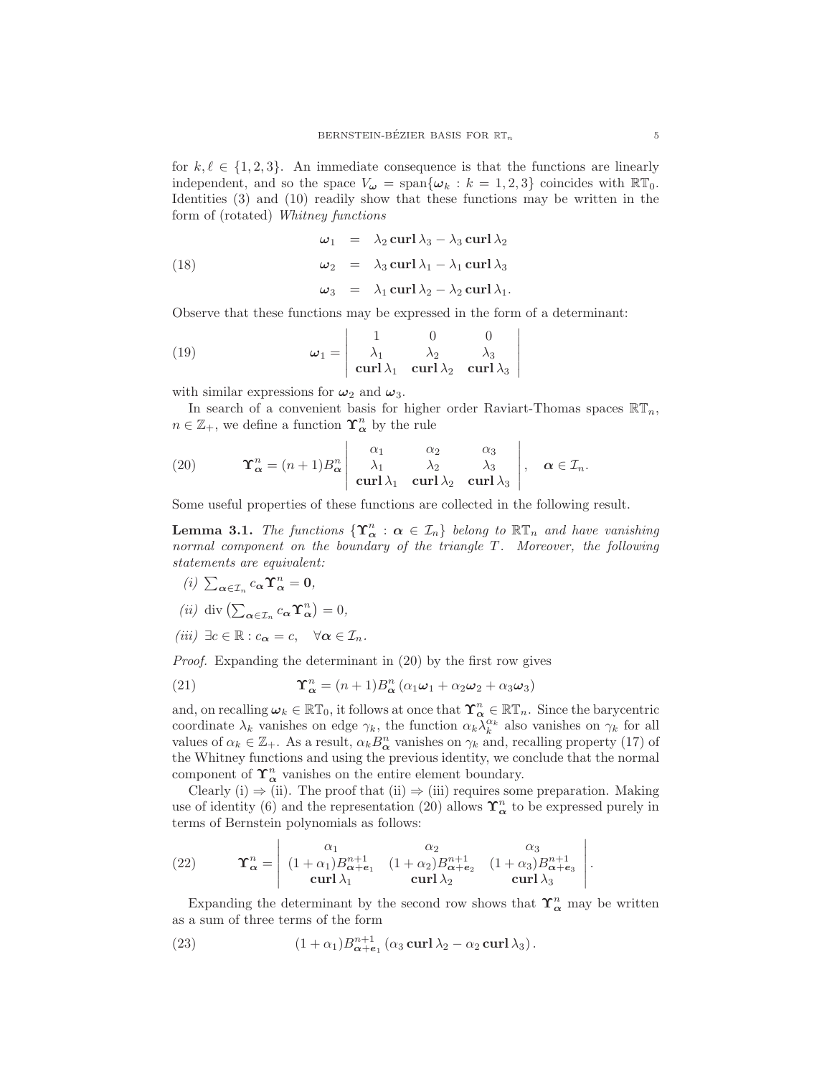for  $k, \ell \in \{1, 2, 3\}$ . An immediate consequence is that the functions are linearly independent, and so the space  $V_{\omega} = \text{span}\{\omega_k : k = 1, 2, 3\}$  coincides with  $\mathbb{RT}_0$ . Identities (3) and (10) readily show that these functions may be written in the form of (rotated) Whitney functions

(18) 
$$
\omega_1 = \lambda_2 \operatorname{curl} \lambda_3 - \lambda_3 \operatorname{curl} \lambda_2
$$

$$
\omega_2 = \lambda_3 \operatorname{curl} \lambda_1 - \lambda_1 \operatorname{curl} \lambda_3
$$

$$
\omega_3 = \lambda_1 \operatorname{curl} \lambda_2 - \lambda_2 \operatorname{curl} \lambda_1.
$$

Observe that these functions may be expressed in the form of a determinant:

(19) 
$$
\omega_1 = \begin{vmatrix} 1 & 0 & 0 \\ \lambda_1 & \lambda_2 & \lambda_3 \\ \text{curl} \lambda_1 & \text{curl} \lambda_2 & \text{curl} \lambda_3 \end{vmatrix}
$$

with similar expressions for  $\omega_2$  and  $\omega_3$ .

In search of a convenient basis for higher order Raviart-Thomas spaces  $\mathbb{RT}_n$ ,  $n \in \mathbb{Z}_+$ , we define a function  $\Upsilon_{\alpha}^n$  by the rule

 $\overline{\phantom{a}}$ I I I I  $\overline{\phantom{a}}$ 

(20) 
$$
\mathbf{\Upsilon}_{\alpha}^{n} = (n+1)B_{\alpha}^{n} \begin{vmatrix} \alpha_{1} & \alpha_{2} & \alpha_{3} \\ \lambda_{1} & \lambda_{2} & \lambda_{3} \\ \mathbf{curl} \lambda_{1} & \mathbf{curl} \lambda_{2} & \mathbf{curl} \lambda_{3} \end{vmatrix}, \quad \alpha \in \mathcal{I}_{n}.
$$

Some useful properties of these functions are collected in the following result.

**Lemma 3.1.** The functions  $\{ \Upsilon_{\alpha}^{n} : \alpha \in \mathcal{I}_{n} \}$  belong to  $\mathbb{RT}_n$  and have vanishing normal component on the boundary of the triangle T. Moreover, the following statements are equivalent:

(i)  $\sum_{\alpha \in \mathcal{I}_n} c_{\alpha} \Upsilon_{\alpha}^n = 0$ ,

(*ii*) div 
$$
(\sum_{\alpha \in \mathcal{I}_n} c_{\alpha} \Upsilon_{\alpha}^n) = 0
$$
,

(iii)  $\exists c \in \mathbb{R} : c_{\alpha} = c, \quad \forall \alpha \in \mathcal{I}_n$ .

Proof. Expanding the determinant in (20) by the first row gives

(21) 
$$
\Upsilon^n_{\alpha} = (n+1)B^n_{\alpha} (\alpha_1 \omega_1 + \alpha_2 \omega_2 + \alpha_3 \omega_3)
$$

and, on recalling  $\omega_k \in \mathbb{RT}_0$ , it follows at once that  $\Upsilon^n_{\alpha} \in \mathbb{RT}_n$ . Since the barycentric coordinate  $\lambda_k$  vanishes on edge  $\gamma_k$ , the function  $\alpha_k \tilde{\lambda}_k^{\alpha_k}$  also vanishes on  $\gamma_k$  for all values of  $\alpha_k \in \mathbb{Z}_+$ . As a result,  $\alpha_k B_{\alpha}^n$  vanishes on  $\gamma_k$  and, recalling property (17) of the Whitney functions and using the previous identity, we conclude that the normal component of  $\Upsilon_{\alpha}^{n}$  vanishes on the entire element boundary.

Clearly (i)  $\Rightarrow$  (ii). The proof that (ii)  $\Rightarrow$  (iii) requires some preparation. Making use of identity (6) and the representation (20) allows  $\Upsilon_{\alpha}^{n}$  to be expressed purely in terms of Bernstein polynomials as follows:

(22) 
$$
\mathbf{\Upsilon}_{\alpha}^{n} = \begin{vmatrix} \alpha_{1} & \alpha_{2} & \alpha_{3} \\ (1 + \alpha_{1})B_{\alpha + e_{1}}^{n+1} & (1 + \alpha_{2})B_{\alpha + e_{2}}^{n+1} & (1 + \alpha_{3})B_{\alpha + e_{3}}^{n+1} \\ \mathbf{curl} \lambda_{1} & \mathbf{curl} \lambda_{2} & \mathbf{curl} \lambda_{3} \end{vmatrix}.
$$

Expanding the determinant by the second row shows that  $\Upsilon_{\alpha}^{n}$  may be written as a sum of three terms of the form

(23) 
$$
(1+\alpha_1)B_{\boldsymbol{\alpha}+\boldsymbol{e}_1}^{n+1}(\alpha_3 \operatorname{curl} \lambda_2 - \alpha_2 \operatorname{curl} \lambda_3).
$$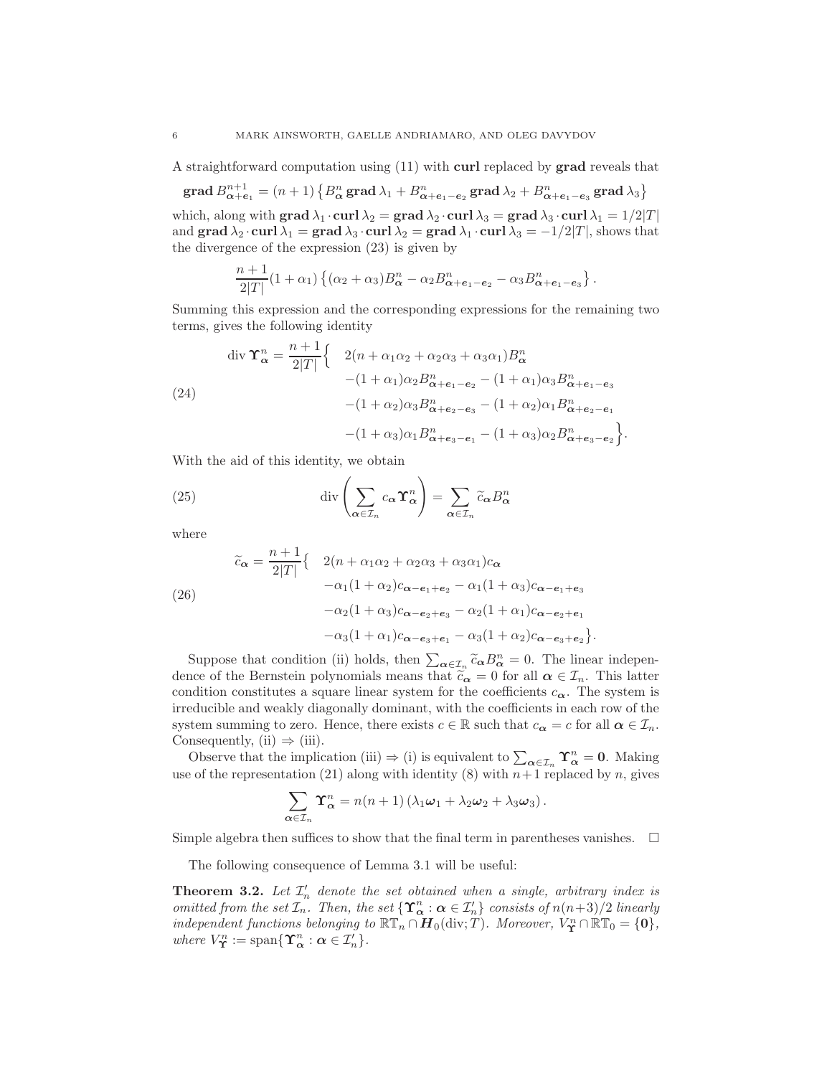A straightforward computation using (11) with curl replaced by grad reveals that

$$
\operatorname{grad} B_{\alpha+e_1}^{n+1} = (n+1) \left\{ B_{\alpha}^n \operatorname{grad} \lambda_1 + B_{\alpha+e_1-e_2}^n \operatorname{grad} \lambda_2 + B_{\alpha+e_1-e_3}^n \operatorname{grad} \lambda_3 \right\}
$$

which, along with grad  $\lambda_1 \cdot \text{curl } \lambda_2 = \text{grad } \lambda_2 \cdot \text{curl } \lambda_3 = \text{grad } \lambda_3 \cdot \text{curl } \lambda_1 = 1/2|T|$ and grad  $\lambda_2 \cdot \text{curl } \lambda_1 = \text{grad } \lambda_3 \cdot \text{curl } \lambda_2 = \text{grad } \lambda_1 \cdot \text{curl } \lambda_3 = -1/2|T|$ , shows that the divergence of the expression (23) is given by

$$
\frac{n+1}{2|T|}(1+\alpha_1)\left\{(\alpha_2+\alpha_3)B_{\boldsymbol{\alpha}}^n-\alpha_2B_{\boldsymbol{\alpha}+\boldsymbol{e}_1-\boldsymbol{e}_2}^n-\alpha_3B_{\boldsymbol{\alpha}+\boldsymbol{e}_1-\boldsymbol{e}_3}^n\right\}.
$$

Summing this expression and the corresponding expressions for the remaining two terms, gives the following identity

$$
\begin{aligned}\n\text{div } \Upsilon_{\alpha}^{n} &= \frac{n+1}{2|T|} \Big\{ \quad 2(n+\alpha_{1}\alpha_{2}+\alpha_{2}\alpha_{3}+\alpha_{3}\alpha_{1})B_{\alpha}^{n} \\
&- (1+\alpha_{1})\alpha_{2}B_{\alpha+e_{1}-e_{2}}^{n} - (1+\alpha_{1})\alpha_{3}B_{\alpha+e_{1}-e_{3}}^{n} \\
&- (1+\alpha_{2})\alpha_{3}B_{\alpha+e_{2}-e_{3}}^{n} - (1+\alpha_{2})\alpha_{1}B_{\alpha+e_{2}-e_{1}}^{n} \\
&- (1+\alpha_{3})\alpha_{1}B_{\alpha+e_{3}-e_{1}}^{n} - (1+\alpha_{3})\alpha_{2}B_{\alpha+e_{3}-e_{2}}^{n} \Big\}.\n\end{aligned}
$$

With the aid of this identity, we obtain

(25) 
$$
\operatorname{div}\left(\sum_{\alpha\in\mathcal{I}_n}c_{\alpha}\Upsilon_{\alpha}^n\right)=\sum_{\alpha\in\mathcal{I}_n}\widetilde{c}_{\alpha}B_{\alpha}^n
$$

where

(26)  
\n
$$
\widetilde{c}_{\alpha} = \frac{n+1}{2|T|} \{ 2(n + \alpha_1 \alpha_2 + \alpha_2 \alpha_3 + \alpha_3 \alpha_1) c_{\alpha} \n- \alpha_1 (1 + \alpha_2) c_{\alpha - e_1 + e_2} - \alpha_1 (1 + \alpha_3) c_{\alpha - e_1 + e_3} \n- \alpha_2 (1 + \alpha_3) c_{\alpha - e_2 + e_3} - \alpha_2 (1 + \alpha_1) c_{\alpha - e_2 + e_1} \n- \alpha_3 (1 + \alpha_1) c_{\alpha - e_3 + e_1} - \alpha_3 (1 + \alpha_2) c_{\alpha - e_3 + e_2} \}
$$

Suppose that condition (ii) holds, then  $\sum_{\alpha \in \mathcal{I}_n} \tilde{c}_{\alpha} B_{\alpha}^n = 0$ . The linear independence of the Bernstein polynomials means that  $\tilde{c}_{\alpha} = 0$  for all  $\alpha \in \mathcal{I}_n$ . This latter condition constitutes a square linear system for the coefficients  $c_{\alpha}$ . The system is irreducible and weakly diagonally dominant, with the coefficients in each row of the system summing to zero. Hence, there exists  $c \in \mathbb{R}$  such that  $c_{\alpha} = c$  for all  $\alpha \in \mathcal{I}_n$ . Consequently, (ii)  $\Rightarrow$  (iii).

.

Observe that the implication (iii)  $\Rightarrow$  (i) is equivalent to  $\sum_{\alpha \in \mathcal{I}_n} \Upsilon_{\alpha}^n = 0$ . Making use of the representation (21) along with identity (8) with  $n+1$  replaced by n, gives

$$
\sum_{\alpha \in \mathcal{I}_n} \Upsilon_\alpha^n = n(n+1) \left( \lambda_1 \omega_1 + \lambda_2 \omega_2 + \lambda_3 \omega_3 \right).
$$

Simple algebra then suffices to show that the final term in parentheses vanishes.  $\Box$ 

The following consequence of Lemma 3.1 will be useful:

**Theorem 3.2.** Let  $\mathcal{I}'_n$  denote the set obtained when a single, arbitrary index is omitted from the set  $\mathcal{I}_n$ . Then, the set  $\{\Upsilon^n_{\alpha} : \alpha \in \mathcal{I}'_n\}$  consists of  $n(n+3)/2$  linearly independent functions belonging to  $\mathbb{RT}_n \cap H_0(\text{div};T)$ . Moreover,  $V_{\Upsilon}^n \cap \mathbb{RT}_0 = \{0\},$ where  $V_{\Upsilon}^{n} := \text{span}\{\Upsilon_{\alpha}^{n} : \alpha \in \mathcal{I}'_{n}\}.$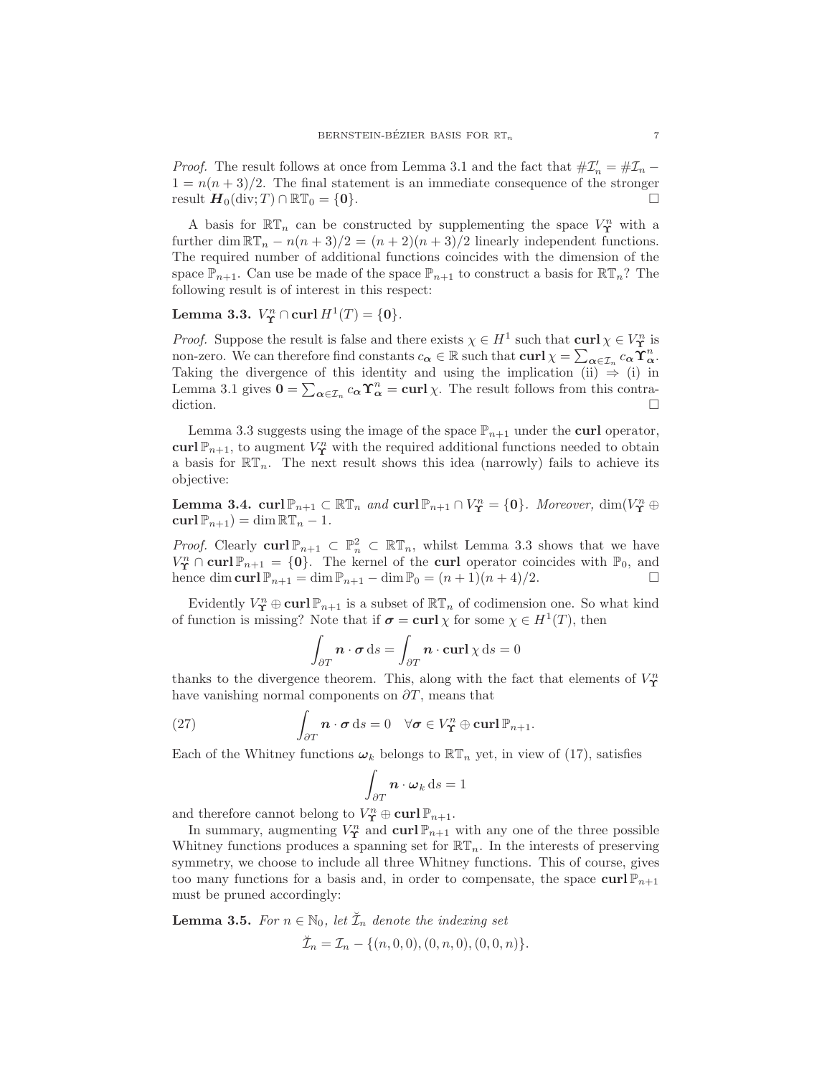*Proof.* The result follows at once from Lemma 3.1 and the fact that  $\#\mathcal{I}'_n = \#\mathcal{I}_n$  –  $1 = n(n+3)/2$ . The final statement is an immediate consequence of the stronger result  $\boldsymbol{H}_0(\text{div}; T) \cap \mathbb{RT}_0 = \{0\}.$ 

A basis for  $\mathbb{RT}_n$  can be constructed by supplementing the space  $V^n$  with a further dim  $\mathbb{RT}_n - n(n+3)/2 = (n+2)(n+3)/2$  linearly independent functions. The required number of additional functions coincides with the dimension of the space  $\mathbb{P}_{n+1}$ . Can use be made of the space  $\mathbb{P}_{n+1}$  to construct a basis for  $\mathbb{RT}_n$ ? The following result is of interest in this respect:

# Lemma 3.3.  $V^n_{\Upsilon} \cap \text{curl } H^1(T) = \{0\}.$

*Proof.* Suppose the result is false and there exists  $\chi \in H^1$  such that  $\text{curl } \chi \in V^n$  is non-zero. We can therefore find constants  $c_{\alpha} \in \mathbb{R}$  such that  $\operatorname{curl} \chi = \sum_{\alpha \in \mathcal{I}_n} c_{\alpha} \widetilde{\Upsilon}_{\alpha}^n$ . Taking the divergence of this identity and using the implication (ii)  $\Rightarrow$  (i) in Lemma 3.1 gives  $0 = \sum_{\alpha \in \mathcal{I}_n} c_{\alpha} \Upsilon_{\alpha}^n = \text{curl } \chi$ . The result follows from this contradiction.  $\Box$ 

Lemma 3.3 suggests using the image of the space  $\mathbb{P}_{n+1}$  under the curl operator, curl  $\mathbb{P}_{n+1}$ , to augment  $V^n$  with the required additional functions needed to obtain a basis for  $\mathbb{RT}_n$ . The next result shows this idea (narrowly) fails to achieve its objective:

Lemma 3.4. curl  $\mathbb{P}_{n+1} \subset \mathbb{RT}_n$  and  $\text{curl} \, \mathbb{P}_{n+1} \cap V^n_{\Upsilon} = \{0\}$ . Moreover,  $\dim(V^n_{\Upsilon} \oplus$  $\operatorname{curl} \mathbb{P}_{n+1}$ ) = dim  $\mathbb{RT}_n - 1$ .

*Proof.* Clearly curl  $\mathbb{P}_{n+1} \subset \mathbb{P}_n^2 \subset \mathbb{RT}_n$ , whilst Lemma 3.3 shows that we have  $V_{\Upsilon}^n \cap \text{curl} \, \mathbb{P}_{n+1} = \{0\}.$  The kernel of the curl operator coincides with  $\mathbb{P}_0$ , and hence dim curl  $\mathbb{P}_{n+1} = \dim \mathbb{P}_{n+1} - \dim \mathbb{P}_0 = (n+1)(n+4)/2.$ 

Evidently  $V_{\Upsilon}^n \oplus \text{curl} \, \mathbb{P}_{n+1}$  is a subset of  $\mathbb{RT}_n$  of codimension one. So what kind of function is missing? Note that if  $\sigma = \text{curl } \chi$  for some  $\chi \in H^1(T)$ , then

$$
\int_{\partial T} \mathbf{n} \cdot \boldsymbol{\sigma} \, ds = \int_{\partial T} \mathbf{n} \cdot \mathbf{curl} \, \chi \, ds = 0
$$

thanks to the divergence theorem. This, along with the fact that elements of  $V_{\Upsilon}^n$ have vanishing normal components on  $\partial T$ , means that

(27) 
$$
\int_{\partial T} \mathbf{n} \cdot \boldsymbol{\sigma} \, ds = 0 \quad \forall \boldsymbol{\sigma} \in V_{\Upsilon}^n \oplus \operatorname{curl} \mathbb{P}_{n+1}.
$$

Each of the Whitney functions  $\omega_k$  belongs to  $\mathbb{RT}_n$  yet, in view of (17), satisfies

$$
\int_{\partial T} \mathbf{n} \cdot \boldsymbol{\omega}_k \, \mathrm{d}s = 1
$$

and therefore cannot belong to  $V_{\mathbf{T}}^n \oplus \textbf{curl} \, \mathbb{P}_{n+1}$ .

In summary, augmenting  $V^n_{\mathbf{\Upsilon}}$  and  $\text{curl } \mathbb{P}_{n+1}$  with any one of the three possible Whitney functions produces a spanning set for  $\mathbb{RT}_n$ . In the interests of preserving symmetry, we choose to include all three Whitney functions. This of course, gives too many functions for a basis and, in order to compensate, the space  $\text{curl} \, \mathbb{P}_{n+1}$ must be pruned accordingly:

**Lemma 3.5.** For  $n \in \mathbb{N}_0$ , let  $\check{\mathcal{I}}_n$  denote the indexing set

$$
\breve{\mathcal{I}}_n = \mathcal{I}_n - \{(n, 0, 0), (0, n, 0), (0, 0, n)\}.
$$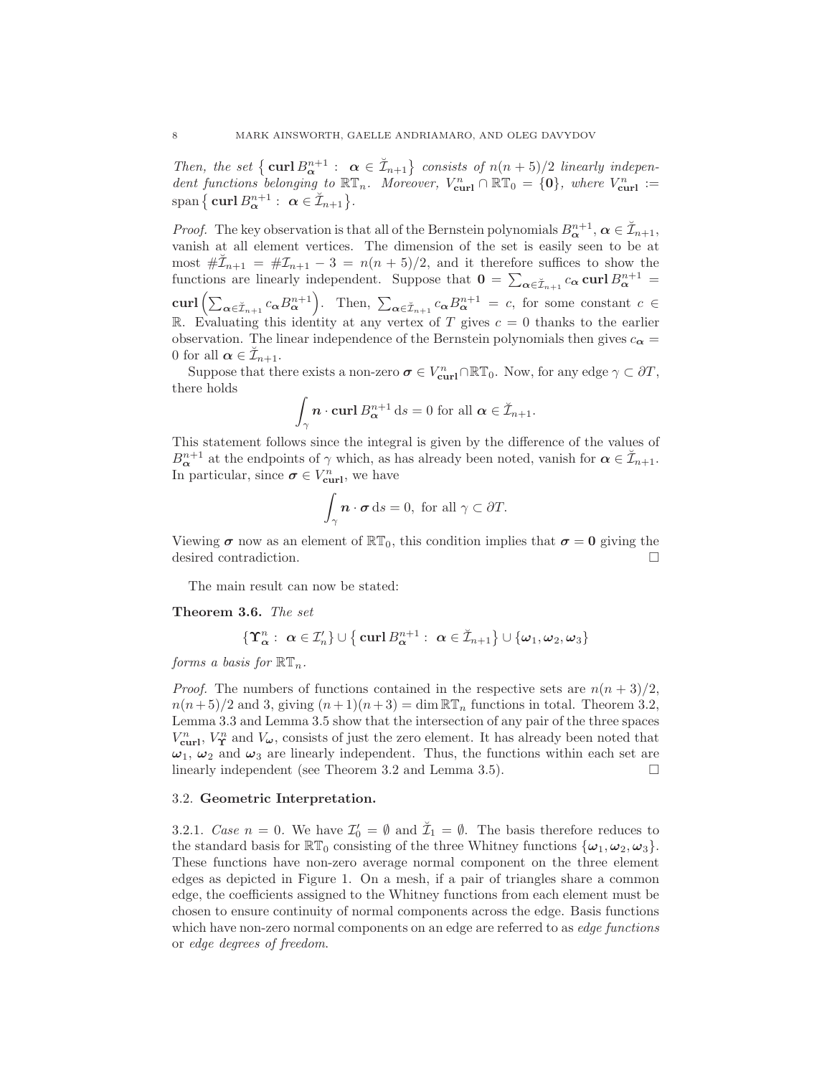Then, the set  $\{\operatorname{curl} B_{\alpha}^{n+1} : \alpha \in \mathbb{Z}_{n+1}\}$  consists of  $n(n+5)/2$  linearly independent functions belonging to  $\mathbb{RT}_n$ . Moreover,  $V_{\text{curl}}^n \cap \mathbb{RT}_0 = \{0\}$ , where  $V_{\text{curl}}^n :=$  $\text{span}\,\big\{\,\mathbf{curl}\,B^{n+1}_{\boldsymbol{\alpha}}:\ \boldsymbol{\alpha}\in\breve{\mathcal{I}}_{n+1}\big\}.$ 

*Proof.* The key observation is that all of the Bernstein polynomials  $B_{\alpha}^{n+1}, \alpha \in \mathcal{I}_{n+1}$ , vanish at all element vertices. The dimension of the set is easily seen to be at most  $\#\mathcal{I}_{n+1} = \#\mathcal{I}_{n+1} - 3 = n(n+5)/2$ , and it therefore suffices to show the functions are linearly independent. Suppose that  $\mathbf{0} = \sum_{\alpha \in \mathcal{I}_{n+1}} c_{\alpha} \mathbf{curl} B_{\alpha}^{n+1} =$ curl  $\left(\sum_{\alpha \in \check{\mathcal{I}}_{n+1}} c_{\alpha} B_{\alpha}^{n+1}\right)$ . Then,  $\sum_{\alpha \in \check{\mathcal{I}}_{n+1}} c_{\alpha} B_{\alpha}^{n+1} = c$ , for some constant  $c \in$ R. Evaluating this identity at any vertex of T gives  $c = 0$  thanks to the earlier observation. The linear independence of the Bernstein polynomials then gives  $c_{\alpha} =$ 0 for all  $\alpha \in \check{\mathcal{I}}_{n+1}$ .

Suppose that there exists a non-zero  $\sigma \in V_{\text{curl}}^n \cap \mathbb{RT}_0$ . Now, for any edge  $\gamma \subset \partial T$ , there holds

$$
\int_{\gamma} \mathbf{n} \cdot \mathbf{curl} \, B_{\boldsymbol{\alpha}}^{n+1} \, \mathrm{d}s = 0 \text{ for all } \boldsymbol{\alpha} \in \breve{\mathcal{I}}_{n+1}.
$$

This statement follows since the integral is given by the difference of the values of  $B_{\alpha}^{n+1}$  at the endpoints of  $\gamma$  which, as has already been noted, vanish for  $\alpha \in \mathcal{I}_{n+1}$ . In particular, since  $\boldsymbol{\sigma} \in V_{\text{curl}}^n$ , we have

$$
\int_{\gamma} \mathbf{n} \cdot \boldsymbol{\sigma} \, \mathrm{d} s = 0, \text{ for all } \gamma \subset \partial T.
$$

Viewing  $\sigma$  now as an element of  $\mathbb{RT}_0$ , this condition implies that  $\sigma = 0$  giving the desired contradiction.

The main result can now be stated:

Theorem 3.6. The set

$$
\{\boldsymbol{\Upsilon}_{\boldsymbol{\alpha}}^n: \ \boldsymbol{\alpha} \in \mathcal{I}'_n\} \cup \{\ \boldsymbol{\mathrm{curl}}\, B^{n+1}_{\boldsymbol{\alpha}}: \ \boldsymbol{\alpha} \in \breve{\mathcal{I}}_{n+1}\} \cup \{\boldsymbol{\omega}_1, \boldsymbol{\omega}_2, \boldsymbol{\omega}_3\}
$$

forms a basis for  $\mathbb{RT}_n$ .

*Proof.* The numbers of functions contained in the respective sets are  $n(n+3)/2$ ,  $n(n+5)/2$  and 3, giving  $(n+1)(n+3) = \dim \mathbb{RT}_n$  functions in total. Theorem 3.2, Lemma 3.3 and Lemma 3.5 show that the intersection of any pair of the three spaces  $V_{\text{curl}}^n$ ,  $V_{\Upsilon}^n$  and  $V_{\omega}$ , consists of just the zero element. It has already been noted that  $\omega_1$ ,  $\omega_2$  and  $\omega_3$  are linearly independent. Thus, the functions within each set are linearly independent (see Theorem 3.2 and Lemma 3.5).

#### 3.2. Geometric Interpretation.

3.2.1. Case  $n = 0$ . We have  $\mathcal{I}'_0 = \emptyset$  and  $\mathcal{I}_1 = \emptyset$ . The basis therefore reduces to the standard basis for  $\mathbb{RT}_0$  consisting of the three Whitney functions  $\{\omega_1, \omega_2, \omega_3\}.$ These functions have non-zero average normal component on the three element edges as depicted in Figure 1. On a mesh, if a pair of triangles share a common edge, the coefficients assigned to the Whitney functions from each element must be chosen to ensure continuity of normal components across the edge. Basis functions which have non-zero normal components on an edge are referred to as *edge functions* or edge degrees of freedom.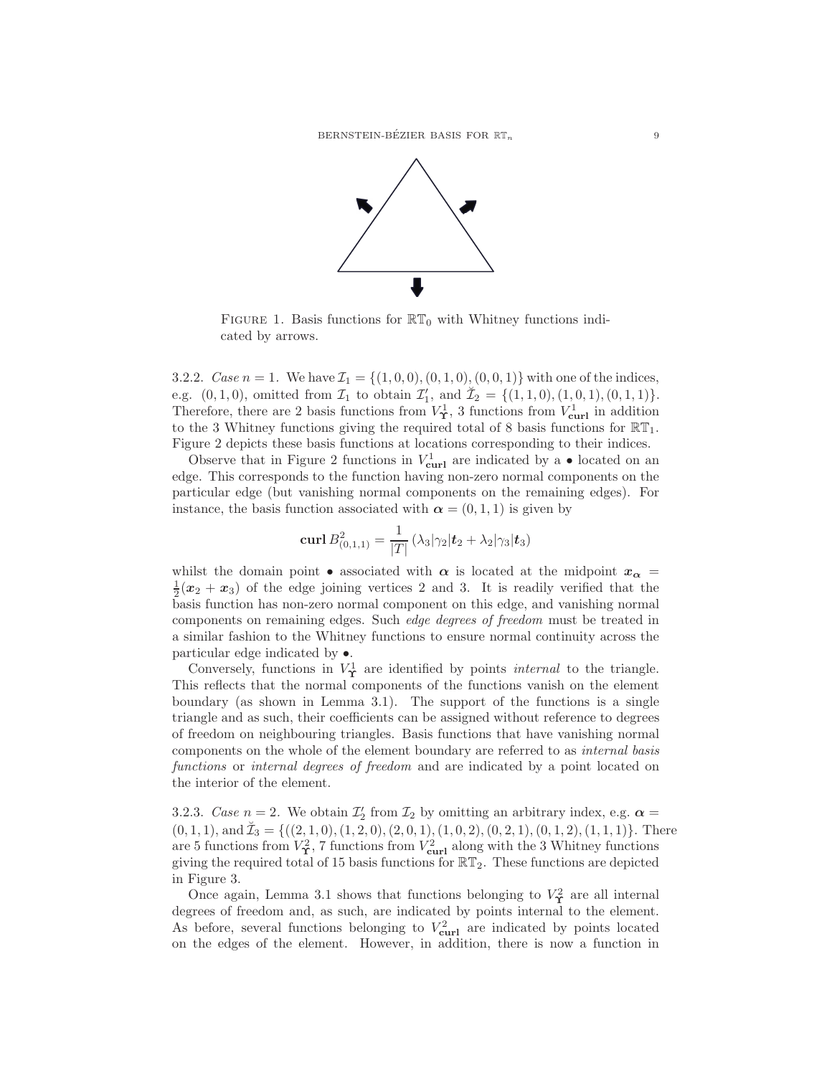

FIGURE 1. Basis functions for  $\mathbb{RT}_0$  with Whitney functions indicated by arrows.

3.2.2. Case  $n = 1$ . We have  $\mathcal{I}_1 = \{(1, 0, 0), (0, 1, 0), (0, 0, 1)\}$  with one of the indices, e.g.  $(0, 1, 0)$ , omitted from  $\mathcal{I}_1$  to obtain  $\mathcal{I}'_1$ , and  $\check{\mathcal{I}}_2 = \{(1, 1, 0), (1, 0, 1), (0, 1, 1)\}.$ Therefore, there are 2 basis functions from  $V^1_{\Upsilon}$ , 3 functions from  $V^1_{\text{curl}}$  in addition to the 3 Whitney functions giving the required total of 8 basis functions for  $\mathbb{RT}_1$ . Figure 2 depicts these basis functions at locations corresponding to their indices.

Observe that in Figure 2 functions in  $V_{\text{curl}}^1$  are indicated by a  $\bullet$  located on an edge. This corresponds to the function having non-zero normal components on the particular edge (but vanishing normal components on the remaining edges). For instance, the basis function associated with  $\alpha = (0, 1, 1)$  is given by

$$
\operatorname{curl} B_{(0,1,1)}^2 = \frac{1}{|T|} \left( \lambda_3 |\gamma_2| \mathbf{t}_2 + \lambda_2 |\gamma_3| \mathbf{t}_3 \right)
$$

whilst the domain point • associated with  $\alpha$  is located at the midpoint  $x_{\alpha}$  =  $\frac{1}{2}(x_2 + x_3)$  of the edge joining vertices 2 and 3. It is readily verified that the basis function has non-zero normal component on this edge, and vanishing normal components on remaining edges. Such edge degrees of freedom must be treated in a similar fashion to the Whitney functions to ensure normal continuity across the particular edge indicated by •.

Conversely, functions in  $V^1_{\Upsilon}$  are identified by points *internal* to the triangle. This reflects that the normal components of the functions vanish on the element boundary (as shown in Lemma 3.1). The support of the functions is a single triangle and as such, their coefficients can be assigned without reference to degrees of freedom on neighbouring triangles. Basis functions that have vanishing normal components on the whole of the element boundary are referred to as internal basis functions or internal degrees of freedom and are indicated by a point located on the interior of the element.

3.2.3. Case  $n = 2$ . We obtain  $\mathcal{I}'_2$  from  $\mathcal{I}_2$  by omitting an arbitrary index, e.g.  $\alpha =$  $(0, 1, 1)$ , and  $\check{\mathcal{I}}_3 = \{((2, 1, 0), (1, 2, 0), (2, 0, 1), (1, 0, 2), (0, 2, 1), (0, 1, 2), (1, 1, 1)\}.$  There are 5 functions from  $V^2_{\Upsilon}$ , 7 functions from  $V^2_{\text{curl}}$  along with the 3 Whitney functions giving the required total of 15 basis functions for  $\mathbb{RT}_2$ . These functions are depicted in Figure 3.

Once again, Lemma 3.1 shows that functions belonging to  $V^2_{\Upsilon}$  are all internal degrees of freedom and, as such, are indicated by points internal to the element. As before, several functions belonging to  $V_{\text{curl}}^2$  are indicated by points located on the edges of the element. However, in addition, there is now a function in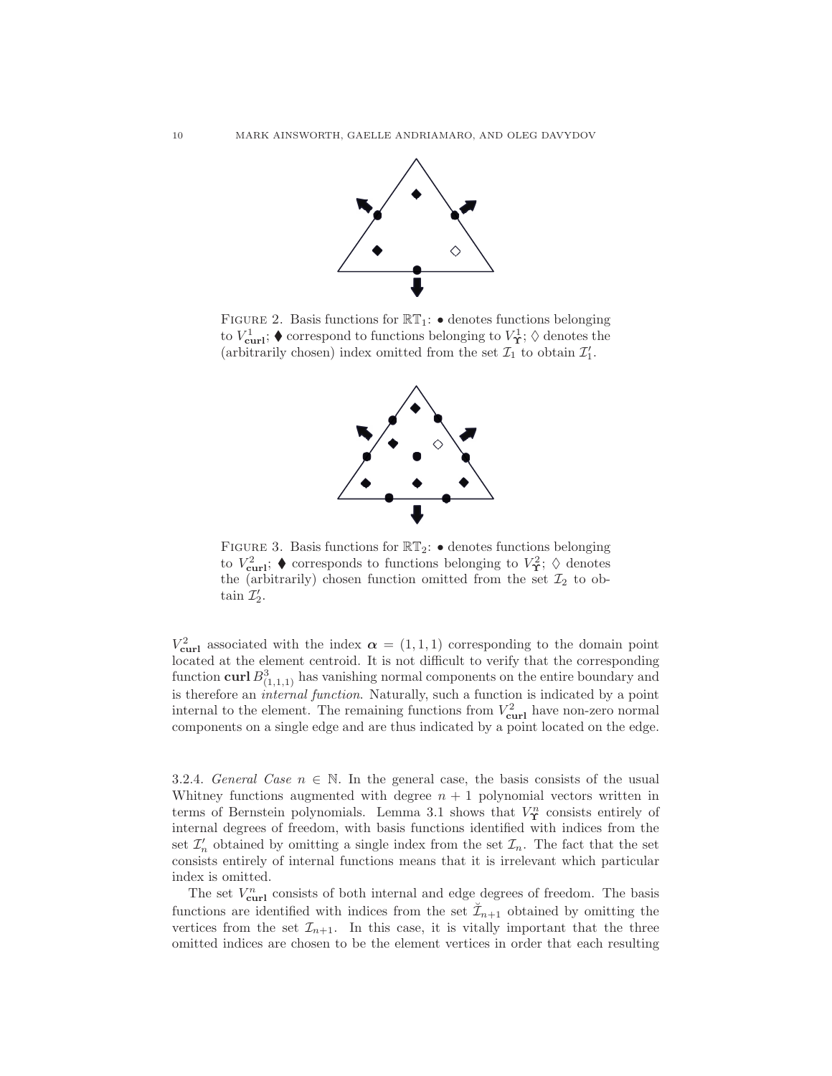

FIGURE 2. Basis functions for  $\mathbb{RT}_1$ :  $\bullet$  denotes functions belonging to  $V_{\text{curl}}^1$ ;  $\blacklozenge$  correspond to functions belonging to  $V^1_{\Upsilon}$ ;  $\lozenge$  denotes the (arbitrarily chosen) index omitted from the set  $\mathcal{I}_1$  to obtain  $\mathcal{I}'_1$ .



FIGURE 3. Basis functions for  $\mathbb{RT}_2$ :  $\bullet$  denotes functions belonging to  $V_{\text{curl}}^2$ ;  $\blacklozenge$  corresponds to functions belonging to  $V_{\text{L}}^2$ ;  $\lozenge$  denotes the (arbitrarily) chosen function omitted from the set  $\mathcal{I}_2$  to obtain  $\mathcal{I}'_2$ .

 $V_{\text{curl}}^2$  associated with the index  $\alpha = (1, 1, 1)$  corresponding to the domain point located at the element centroid. It is not difficult to verify that the corresponding function  $\operatorname{curl} B^3_{(1,1,1)}$  has vanishing normal components on the entire boundary and is therefore an internal function. Naturally, such a function is indicated by a point internal to the element. The remaining functions from  $V_{\text{curl}}^2$  have non-zero normal components on a single edge and are thus indicated by a point located on the edge.

3.2.4. General Case  $n \in \mathbb{N}$ . In the general case, the basis consists of the usual Whitney functions augmented with degree  $n + 1$  polynomial vectors written in terms of Bernstein polynomials. Lemma 3.1 shows that  $V^n_{\Upsilon}$  consists entirely of internal degrees of freedom, with basis functions identified with indices from the set  $\mathcal{I}'_n$  obtained by omitting a single index from the set  $\mathcal{I}_n$ . The fact that the set consists entirely of internal functions means that it is irrelevant which particular index is omitted.

The set  $V_{\text{curl}}^n$  consists of both internal and edge degrees of freedom. The basis functions are identified with indices from the set  $\mathcal{I}_{n+1}$  obtained by omitting the vertices from the set  $\mathcal{I}_{n+1}$ . In this case, it is vitally important that the three omitted indices are chosen to be the element vertices in order that each resulting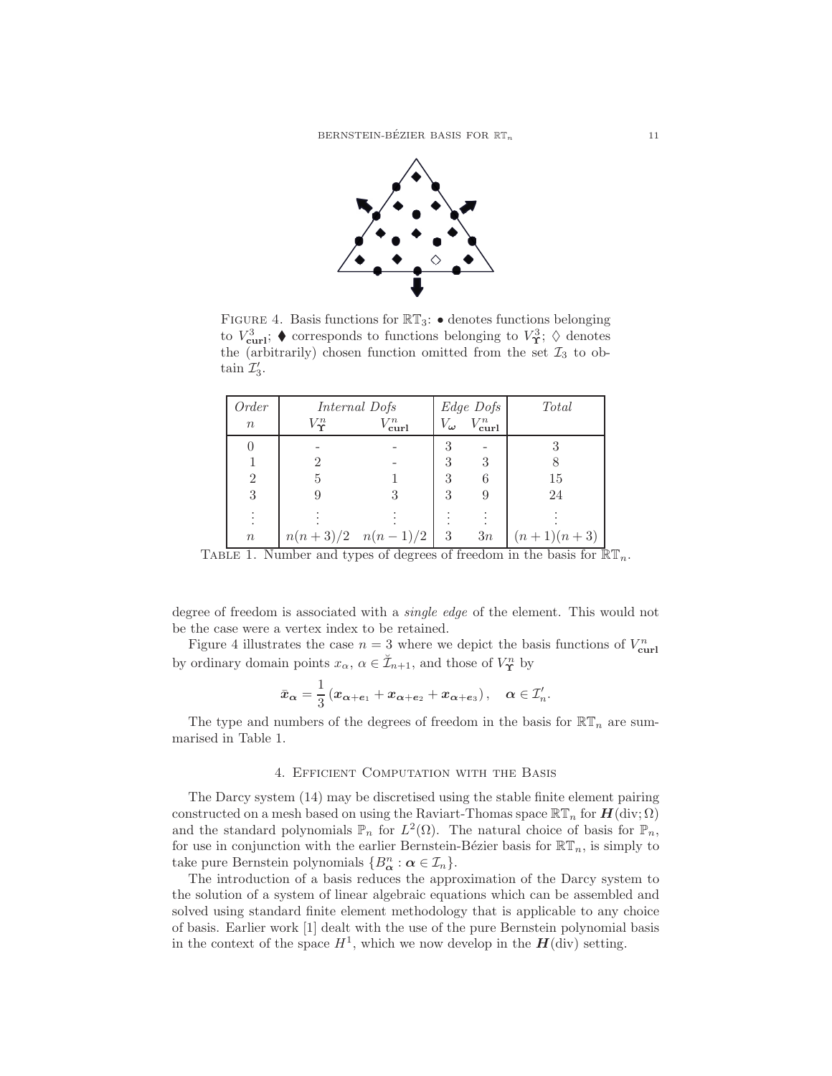

FIGURE 4. Basis functions for  $\mathbb{RT}_3$ :  $\bullet$  denotes functions belonging to  $V_{\text{curl}}^3$ ;  $\blacklozenge$  corresponds to functions belonging to  $V_{\text{L}}^3$ ;  $\lozenge$  denotes the (arbitrarily) chosen function omitted from the set  $\mathcal{I}_3$  to obtain  $\mathcal{I}'_3$ .

| Order            | Internal Dofs    |                                      | Edge Dofs                 |                     | <b>Total</b> |
|------------------|------------------|--------------------------------------|---------------------------|---------------------|--------------|
| $\boldsymbol{n}$ | $V_{\Upsilon}^n$ | $V^n_{\operatorname{\mathbf{curl}}}$ | $V_{\boldsymbol{\omega}}$ | $V_{\text{curl}}^n$ |              |
|                  |                  |                                      | 3                         |                     |              |
|                  | 2                |                                      | 3                         | 3                   |              |
| $\overline{2}$   | 5                |                                      | 3                         | 6                   | 15           |
| 3                |                  |                                      | 3                         | 9                   | 24           |
|                  |                  |                                      |                           |                     |              |
| $\, n$           |                  | $n(n+3)/2 \quad n(n-1)/2$            | 3                         | 3n                  | $(n+1)(n+3)$ |

TABLE 1. Number and types of degrees of freedom in the basis for  $\mathbb{RT}_n$ .

degree of freedom is associated with a single edge of the element. This would not be the case were a vertex index to be retained.

Figure 4 illustrates the case  $n = 3$  where we depict the basis functions of  $V_{\text{curl}}^n$ by ordinary domain points  $x_{\alpha}, \alpha \in \check{\mathcal{I}}_{n+1}$ , and those of  $V^n_{\Upsilon}$  by

$$
\bar{x}_{\alpha} = \frac{1}{3} \left( x_{\alpha + e_1} + x_{\alpha + e_2} + x_{\alpha + e_3} \right), \quad \alpha \in \mathcal{I}'_n.
$$

The type and numbers of the degrees of freedom in the basis for  $\mathbb{RT}_n$  are summarised in Table 1.

#### 4. Efficient Computation with the Basis

The Darcy system (14) may be discretised using the stable finite element pairing constructed on a mesh based on using the Raviart-Thomas space  $\mathbb{RT}_n$  for  $H(\text{div}; \Omega)$ and the standard polynomials  $\mathbb{P}_n$  for  $L^2(\Omega)$ . The natural choice of basis for  $\mathbb{P}_n$ , for use in conjunction with the earlier Bernstein-Bézier basis for  $\mathbb{RT}_n$ , is simply to take pure Bernstein polynomials  $\{B^n_{\alpha} : \alpha \in \mathcal{I}_n\}.$ 

The introduction of a basis reduces the approximation of the Darcy system to the solution of a system of linear algebraic equations which can be assembled and solved using standard finite element methodology that is applicable to any choice of basis. Earlier work [1] dealt with the use of the pure Bernstein polynomial basis in the context of the space  $H^1$ , which we now develop in the  $H(\text{div})$  setting.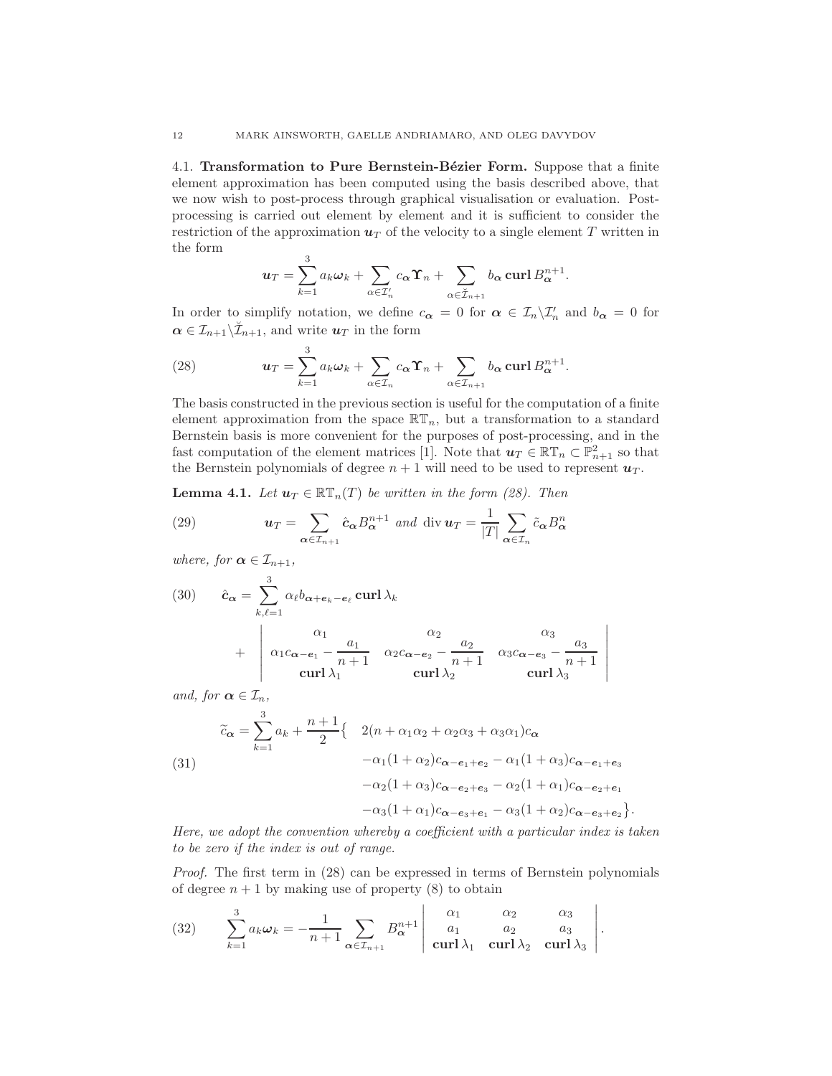4.1. Transformation to Pure Bernstein-Bézier Form. Suppose that a finite element approximation has been computed using the basis described above, that we now wish to post-process through graphical visualisation or evaluation. Postprocessing is carried out element by element and it is sufficient to consider the restriction of the approximation  $u<sub>T</sub>$  of the velocity to a single element T written in the form

$$
\boldsymbol{u}_T = \sum_{k=1}^3 a_k \boldsymbol{\omega}_k + \sum_{\alpha \in \mathcal{I}'_n} c_{\alpha} \boldsymbol{\Upsilon}_n + \sum_{\alpha \in \mathcal{I}_{n+1}} b_{\alpha} \operatorname{curl} B_{\alpha}^{n+1}.
$$

In order to simplify notation, we define  $c_{\alpha} = 0$  for  $\alpha \in \mathcal{I}_n \setminus \mathcal{I}'_n$  and  $b_{\alpha} = 0$  for  $\alpha \in \mathcal{I}_{n+1} \backslash \check{\mathcal{I}}_{n+1}$ , and write  $u_T$  in the form

(28) 
$$
\mathbf{u}_T = \sum_{k=1}^3 a_k \boldsymbol{\omega}_k + \sum_{\alpha \in \mathcal{I}_n} c_{\alpha} \Upsilon_n + \sum_{\alpha \in \mathcal{I}_{n+1}} b_{\alpha} \operatorname{curl} B_{\alpha}^{n+1}.
$$

The basis constructed in the previous section is useful for the computation of a finite element approximation from the space  $\mathbb{R}T_n$ , but a transformation to a standard Bernstein basis is more convenient for the purposes of post-processing, and in the fast computation of the element matrices [1]. Note that  $u_T \in \mathbb{RT}_n \subset \mathbb{P}^2_{n+1}$  so that the Bernstein polynomials of degree  $n + 1$  will need to be used to represent  $u_T$ .

**Lemma 4.1.** Let  $u_T \in \mathbb{RT}_n(T)$  be written in the form (28). Then

(29) 
$$
\mathbf{u}_T = \sum_{\alpha \in \mathcal{I}_{n+1}} \hat{\mathbf{c}}_{\alpha} B_{\alpha}^{n+1} \text{ and } \text{div } \mathbf{u}_T = \frac{1}{|T|} \sum_{\alpha \in \mathcal{I}_n} \tilde{c}_{\alpha} B_{\alpha}^n
$$

where, for  $\alpha \in \mathcal{I}_{n+1}$ ,

(30) 
$$
\hat{c}_{\alpha} = \sum_{k,\ell=1}^{3} \alpha_{\ell} b_{\alpha + e_k - e_{\ell}} \operatorname{curl} \lambda_k + \begin{vmatrix} \alpha_1 & \alpha_2 & \alpha_3 \\ \alpha_1 c_{\alpha - e_1} - \frac{a_1}{n+1} & \alpha_2 c_{\alpha - e_2} - \frac{a_2}{n+1} & \alpha_3 c_{\alpha - e_3} - \frac{a_3}{n+1} \\ \operatorname{curl} \lambda_1 & \operatorname{curl} \lambda_2 & \operatorname{curl} \lambda_3 \end{vmatrix}
$$

 $\begin{array}{c} \hline \end{array}$  $\overline{\phantom{a}}$  $\overline{\phantom{a}}$  $\overline{\phantom{a}}$  $\overline{\phantom{a}}$  $\overline{\phantom{a}}$ İ

and, for  $\alpha \in \mathcal{I}_n$ ,

(31)  

$$
\widetilde{c}_{\alpha} = \sum_{k=1}^{3} a_k + \frac{n+1}{2} \{ 2(n + \alpha_1 \alpha_2 + \alpha_2 \alpha_3 + \alpha_3 \alpha_1) c_{\alpha} \n- \alpha_1 (1 + \alpha_2) c_{\alpha - e_1 + e_2} - \alpha_1 (1 + \alpha_3) c_{\alpha - e_1 + e_3} \n- \alpha_2 (1 + \alpha_3) c_{\alpha - e_2 + e_3} - \alpha_2 (1 + \alpha_1) c_{\alpha - e_2 + e_1} \n- \alpha_3 (1 + \alpha_1) c_{\alpha - e_3 + e_1} - \alpha_3 (1 + \alpha_2) c_{\alpha - e_3 + e_2} \}.
$$

Here, we adopt the convention whereby a coefficient with a particular index is taken to be zero if the index is out of range.

Proof. The first term in (28) can be expressed in terms of Bernstein polynomials of degree  $n + 1$  by making use of property (8) to obtain

(32) 
$$
\sum_{k=1}^{3} a_k \omega_k = -\frac{1}{n+1} \sum_{\alpha \in \mathcal{I}_{n+1}} B_{\alpha}^{n+1} \begin{vmatrix} \alpha_1 & \alpha_2 & \alpha_3 \\ a_1 & a_2 & a_3 \\ \operatorname{curl} \lambda_1 & \operatorname{curl} \lambda_2 & \operatorname{curl} \lambda_3 \end{vmatrix}.
$$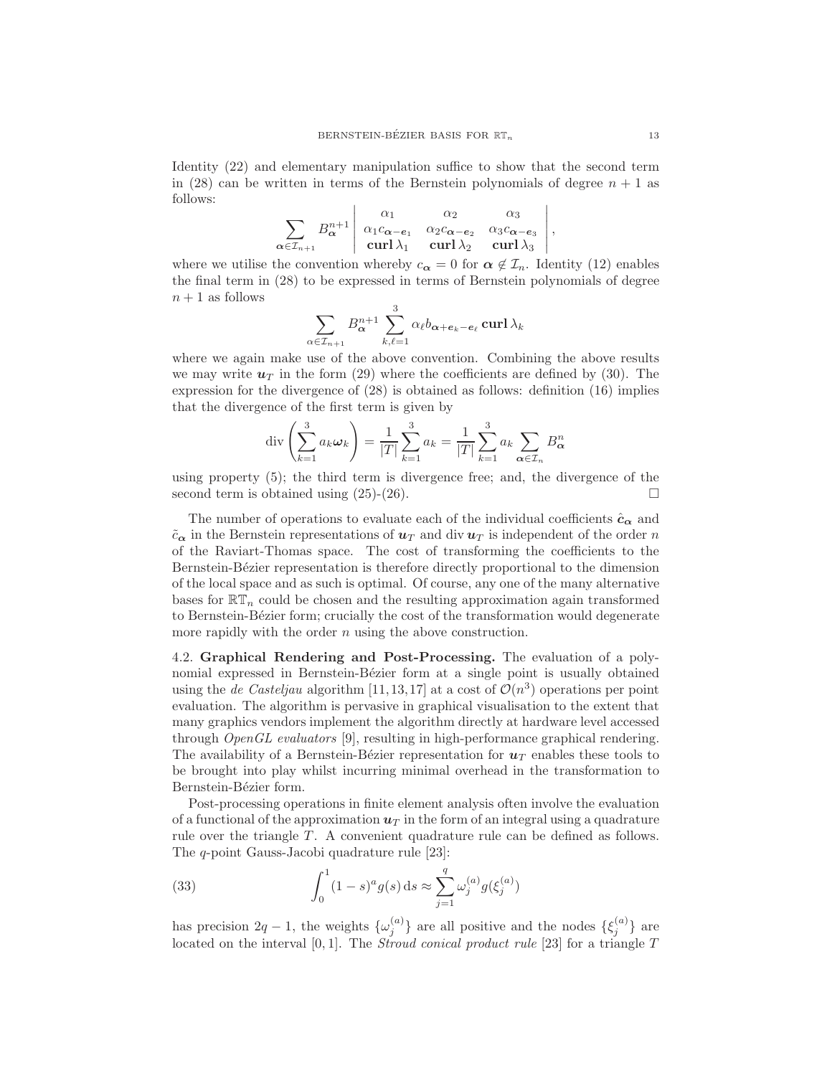Identity (22) and elementary manipulation suffice to show that the second term in (28) can be written in terms of the Bernstein polynomials of degree  $n + 1$  as follows:

$$
\sum_{\alpha \in \mathcal{I}_{n+1}} B_{\alpha}^{n+1} \begin{vmatrix} \alpha_1 & \alpha_2 & \alpha_3 \\ \alpha_1 c_{\alpha - \mathbf{e}_1} & \alpha_2 c_{\alpha - \mathbf{e}_2} & \alpha_3 c_{\alpha - \mathbf{e}_3} \\ \text{curl} \lambda_1 & \text{curl} \lambda_2 & \text{curl} \lambda_3 \end{vmatrix},
$$

where we utilise the convention whereby  $c_{\alpha} = 0$  for  $\alpha \notin \mathcal{I}_n$ . Identity (12) enables the final term in (28) to be expressed in terms of Bernstein polynomials of degree  $n+1$  as follows

$$
\sum_{\in \mathcal{I}_{n+1}} B_{\bm{\alpha}}^{n+1} \sum_{k,\ell=1}^3 \alpha_\ell b_{\bm{\alpha}+\bm{e}_k-\bm{e}_\ell} \operatorname{\mathbf{curl}} \lambda_k
$$

 $\alpha$ 

where we again make use of the above convention. Combining the above results we may write  $u_T$  in the form (29) where the coefficients are defined by (30). The expression for the divergence of (28) is obtained as follows: definition (16) implies that the divergence of the first term is given by

$$
\operatorname{div}\left(\sum_{k=1}^{3} a_k \omega_k\right) = \frac{1}{|T|} \sum_{k=1}^{3} a_k = \frac{1}{|T|} \sum_{k=1}^{3} a_k \sum_{\alpha \in \mathcal{I}_n} B_{\alpha}^n
$$

using property (5); the third term is divergence free; and, the divergence of the second term is obtained using  $(25)-(26)$ .

The number of operations to evaluate each of the individual coefficients  $\hat{c}_{\alpha}$  and  $\tilde{c}_{\alpha}$  in the Bernstein representations of  $u_T$  and div  $u_T$  is independent of the order n of the Raviart-Thomas space. The cost of transforming the coefficients to the Bernstein-Bézier representation is therefore directly proportional to the dimension of the local space and as such is optimal. Of course, any one of the many alternative bases for  $\mathbb{RT}_n$  could be chosen and the resulting approximation again transformed to Bernstein-B´ezier form; crucially the cost of the transformation would degenerate more rapidly with the order  $n$  using the above construction.

4.2. Graphical Rendering and Post-Processing. The evaluation of a polynomial expressed in Bernstein-Bézier form at a single point is usually obtained using the *de Casteljau* algorithm [11,13,17] at a cost of  $\mathcal{O}(n^3)$  operations per point evaluation. The algorithm is pervasive in graphical visualisation to the extent that many graphics vendors implement the algorithm directly at hardware level accessed through OpenGL evaluators [9], resulting in high-performance graphical rendering. The availability of a Bernstein-Bézier representation for  $u_T$  enables these tools to be brought into play whilst incurring minimal overhead in the transformation to Bernstein-Bézier form.

Post-processing operations in finite element analysis often involve the evaluation of a functional of the approximation  $u_T$  in the form of an integral using a quadrature rule over the triangle  $T$ . A convenient quadrature rule can be defined as follows. The q-point Gauss-Jacobi quadrature rule [23]:

(33) 
$$
\int_0^1 (1-s)^a g(s) ds \approx \sum_{j=1}^q \omega_j^{(a)} g(\xi_j^{(a)})
$$

has precision  $2q-1$ , the weights  $\{\omega_i^{(a)}\}$  $\{\xi_j^{(a)}\}$  are all positive and the nodes  $\{\xi_j^{(a)}\}$  $\{a^{(u)}\}$  are located on the interval  $[0, 1]$ . The *Stroud conical product rule* [23] for a triangle  $T$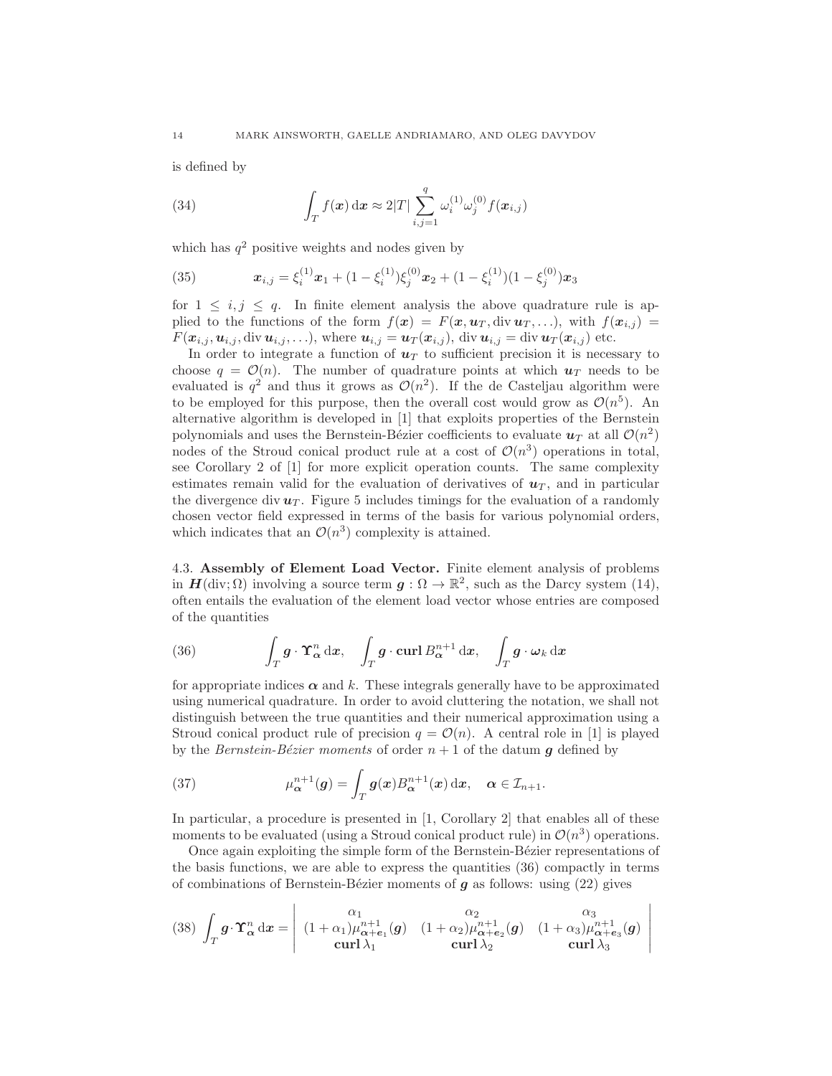is defined by

(34) 
$$
\int_{T} f(x) dx \approx 2|T| \sum_{i,j=1}^{q} \omega_{i}^{(1)} \omega_{j}^{(0)} f(x_{i,j})
$$

which has  $q^2$  positive weights and nodes given by

(35) 
$$
\boldsymbol{x}_{i,j} = \xi_i^{(1)} \boldsymbol{x}_1 + (1 - \xi_i^{(1)}) \xi_j^{(0)} \boldsymbol{x}_2 + (1 - \xi_i^{(1)}) (1 - \xi_j^{(0)}) \boldsymbol{x}_3
$$

for  $1 \leq i, j \leq q$ . In finite element analysis the above quadrature rule is applied to the functions of the form  $f(x) = F(x, u_T, \text{div } u_T, \ldots)$ , with  $f(x_{i,j}) =$  $F(\boldsymbol{x}_{i,j}, \boldsymbol{u}_{i,j}, \text{div } \boldsymbol{u}_{i,j}, \ldots), \text{ where } \boldsymbol{u}_{i,j} = \boldsymbol{u}_T(\boldsymbol{x}_{i,j}), \text{div } \boldsymbol{u}_{i,j} = \text{div } \boldsymbol{u}_T(\boldsymbol{x}_{i,j}) \text{ etc.}$ 

In order to integrate a function of  $u_T$  to sufficient precision it is necessary to choose  $q = \mathcal{O}(n)$ . The number of quadrature points at which  $u_T$  needs to be evaluated is  $q^2$  and thus it grows as  $\mathcal{O}(n^2)$ . If the de Casteljau algorithm were to be employed for this purpose, then the overall cost would grow as  $\mathcal{O}(n^5)$ . An alternative algorithm is developed in [1] that exploits properties of the Bernstein polynomials and uses the Bernstein-Bézier coefficients to evaluate  $u_T$  at all  $\mathcal{O}(n^2)$ nodes of the Stroud conical product rule at a cost of  $\mathcal{O}(n^3)$  operations in total, see Corollary 2 of [1] for more explicit operation counts. The same complexity estimates remain valid for the evaluation of derivatives of  $u_T$ , and in particular the divergence div  $u_T$ . Figure 5 includes timings for the evaluation of a randomly chosen vector field expressed in terms of the basis for various polynomial orders, which indicates that an  $\mathcal{O}(n^3)$  complexity is attained.

4.3. Assembly of Element Load Vector. Finite element analysis of problems in  $H(\text{div}; \Omega)$  involving a source term  $g: \Omega \to \mathbb{R}^2$ , such as the Darcy system (14), often entails the evaluation of the element load vector whose entries are composed of the quantities

(36) 
$$
\int_T \mathbf{g} \cdot \mathbf{\hat{T}}_{\alpha}^n dx, \quad \int_T \mathbf{g} \cdot \mathbf{curl} B_{\alpha}^{n+1} dx, \quad \int_T \mathbf{g} \cdot \boldsymbol{\omega}_k dx
$$

for appropriate indices  $\alpha$  and k. These integrals generally have to be approximated using numerical quadrature. In order to avoid cluttering the notation, we shall not distinguish between the true quantities and their numerical approximation using a Stroud conical product rule of precision  $q = \mathcal{O}(n)$ . A central role in [1] is played by the Bernstein-Bézier moments of order  $n + 1$  of the datum q defined by

(37) 
$$
\mu_{\alpha}^{n+1}(\boldsymbol{g}) = \int_{T} \boldsymbol{g}(\boldsymbol{x}) B_{\alpha}^{n+1}(\boldsymbol{x}) \, \mathrm{d}\boldsymbol{x}, \quad \boldsymbol{\alpha} \in \mathcal{I}_{n+1}.
$$

In particular, a procedure is presented in [1, Corollary 2] that enables all of these moments to be evaluated (using a Stroud conical product rule) in  $\mathcal{O}(n^3)$  operations.

Once again exploiting the simple form of the Bernstein-Bézier representations of the basis functions, we are able to express the quantities (36) compactly in terms of combinations of Bernstein-Bézier moments of  $g$  as follows: using (22) gives

> $\begin{array}{c} \hline \end{array}$  $\overline{\phantom{a}}$  $\overline{\phantom{a}}$  $\overline{\phantom{a}}$  $\overline{\phantom{a}}$  $\begin{array}{c} \end{array}$

(38) 
$$
\int_T \mathbf{g} \cdot \mathbf{\hat{T}}_{\alpha}^n dx = \begin{vmatrix} \alpha_1 & \alpha_2 & \alpha_3 \\ (1 + \alpha_1)\mu_{\alpha+e_1}^{n+1}(\mathbf{g}) & (1 + \alpha_2)\mu_{\alpha+e_2}^{n+1}(\mathbf{g}) & (1 + \alpha_3)\mu_{\alpha+e_3}^{n+1}(\mathbf{g}) \\ \operatorname{curl} \lambda_1 & \operatorname{curl} \lambda_2 & \operatorname{curl} \lambda_3 \end{vmatrix}
$$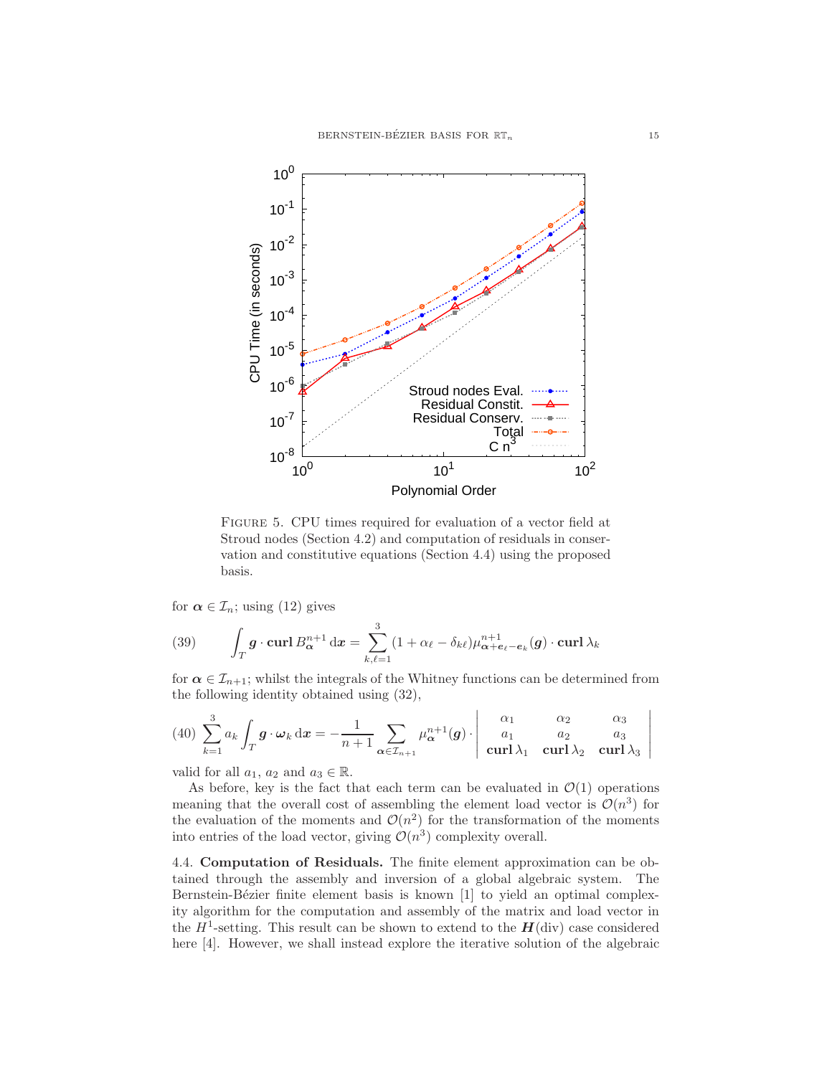

Figure 5. CPU times required for evaluation of a vector field at Stroud nodes (Section 4.2) and computation of residuals in conservation and constitutive equations (Section 4.4) using the proposed basis.

for  $\alpha \in \mathcal{I}_n$ ; using (12) gives

(39) 
$$
\int_T \mathbf{g} \cdot \operatorname{curl} B_{\boldsymbol{\alpha}}^{n+1} d\mathbf{x} = \sum_{k,\ell=1}^3 (1 + \alpha_\ell - \delta_{k\ell}) \mu_{\boldsymbol{\alpha} + \boldsymbol{e}_\ell - \boldsymbol{e}_k}^{n+1}(\mathbf{g}) \cdot \operatorname{curl} \lambda_k
$$

for  $\alpha \in \mathcal{I}_{n+1}$ ; whilst the integrals of the Whitney functions can be determined from the following identity obtained using (32),

$$
(40)\ \sum_{k=1}^{3} a_k \int_T \boldsymbol{g} \cdot \boldsymbol{\omega}_k \, \mathrm{d}\boldsymbol{x} = -\frac{1}{n+1} \sum_{\boldsymbol{\alpha} \in \mathcal{I}_{n+1}} \mu_{\boldsymbol{\alpha}}^{n+1}(\boldsymbol{g}) \cdot \begin{vmatrix} \alpha_1 & \alpha_2 & \alpha_3 \\ a_1 & a_2 & a_3 \\ \mathbf{curl}\,\lambda_1 & \mathbf{curl}\,\lambda_2 & \mathbf{curl}\,\lambda_3 \end{vmatrix}
$$

valid for all  $a_1, a_2$  and  $a_3 \in \mathbb{R}$ .

As before, key is the fact that each term can be evaluated in  $\mathcal{O}(1)$  operations meaning that the overall cost of assembling the element load vector is  $\mathcal{O}(n^3)$  for the evaluation of the moments and  $\mathcal{O}(n^2)$  for the transformation of the moments into entries of the load vector, giving  $\mathcal{O}(n^3)$  complexity overall.

4.4. Computation of Residuals. The finite element approximation can be obtained through the assembly and inversion of a global algebraic system. The Bernstein-Bézier finite element basis is known [1] to yield an optimal complexity algorithm for the computation and assembly of the matrix and load vector in the  $H^1$ -setting. This result can be shown to extend to the  $H(\text{div})$  case considered here [4]. However, we shall instead explore the iterative solution of the algebraic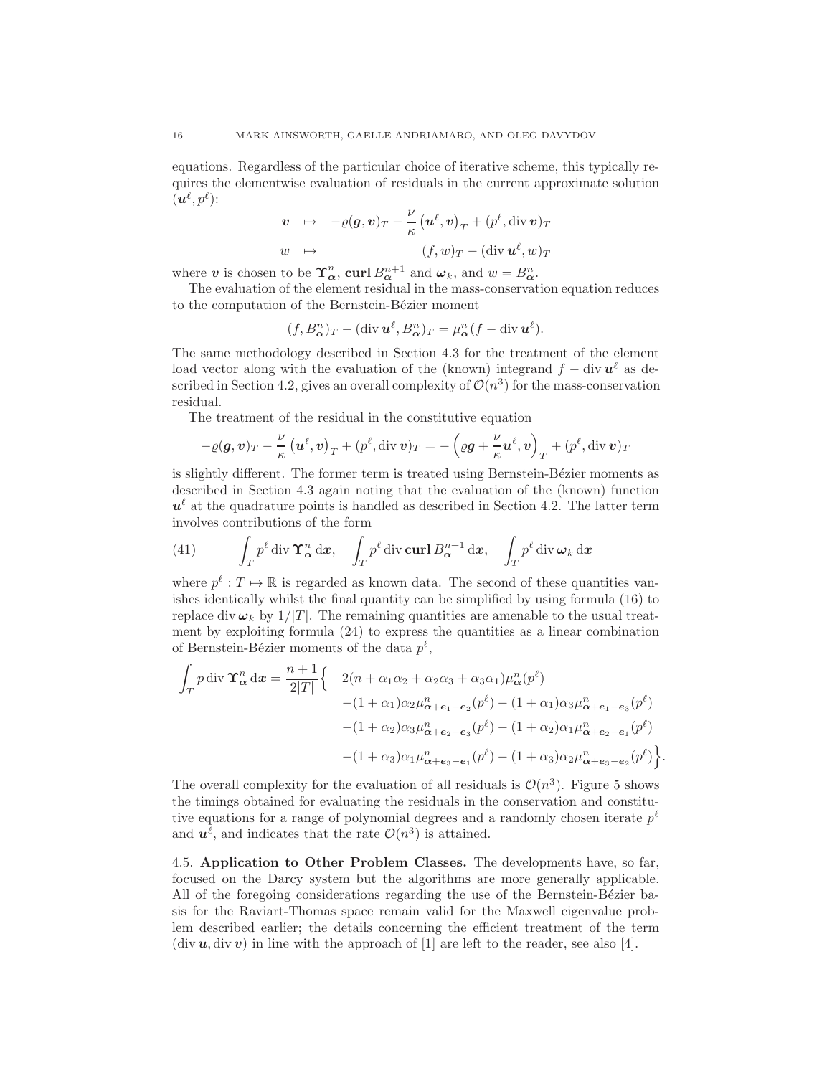equations. Regardless of the particular choice of iterative scheme, this typically requires the elementwise evaluation of residuals in the current approximate solution  $(\boldsymbol{u}^\ell, p^\ell)$ :

$$
\begin{array}{rcl}\n\mathbf{v} & \mapsto & -\varrho(\mathbf{g}, \mathbf{v})_T - \frac{\nu}{\kappa} \left( \mathbf{u}^\ell, \mathbf{v} \right)_T + (p^\ell, \operatorname{div} \mathbf{v})_T \\
w & \mapsto & (f, w)_T - (\operatorname{div} \mathbf{u}^\ell, w)_T\n\end{array}
$$

where **v** is chosen to be  $\Upsilon_{\alpha}^{n}$ , **curl**  $B_{\alpha}^{n+1}$  and  $\omega_{k}$ , and  $w = B_{\alpha}^{n}$ .

The evaluation of the element residual in the mass-conservation equation reduces to the computation of the Bernstein-Bézier moment

$$
(f, B^n_{\alpha})_T - (\operatorname{div} \mathbf{u}^{\ell}, B^n_{\alpha})_T = \mu^n_{\alpha}(f - \operatorname{div} \mathbf{u}^{\ell}).
$$

The same methodology described in Section 4.3 for the treatment of the element load vector along with the evaluation of the (known) integrand  $f - \text{div} \,\mathbf{u}^{\ell}$  as described in Section 4.2, gives an overall complexity of  $\mathcal{O}(n^3)$  for the mass-conservation residual.

The treatment of the residual in the constitutive equation

$$
-\varrho(\mathbf{g},\mathbf{v})_T - \frac{\nu}{\kappa} (\mathbf{u}^{\ell}, \mathbf{v})_T + (\mathbf{p}^{\ell}, \operatorname{div} \mathbf{v})_T = -(\varrho \mathbf{g} + \frac{\nu}{\kappa} \mathbf{u}^{\ell}, \mathbf{v})_T + (\mathbf{p}^{\ell}, \operatorname{div} \mathbf{v})_T
$$

is slightly different. The former term is treated using Bernstein-Bézier moments as described in Section 4.3 again noting that the evaluation of the (known) function  $u^{\ell}$  at the quadrature points is handled as described in Section 4.2. The latter term involves contributions of the form

(41) 
$$
\int_T p^{\ell} \operatorname{div} \Upsilon_{\alpha}^n \, dx, \quad \int_T p^{\ell} \operatorname{div} \operatorname{curl} B_{\alpha}^{n+1} \, dx, \quad \int_T p^{\ell} \operatorname{div} \omega_k \, dx
$$

where  $p^{\ell}: T \mapsto \mathbb{R}$  is regarded as known data. The second of these quantities vanishes identically whilst the final quantity can be simplified by using formula (16) to replace div  $\omega_k$  by  $1/|T|$ . The remaining quantities are amenable to the usual treatment by exploiting formula (24) to express the quantities as a linear combination of Bernstein-Bézier moments of the data  $p^{\ell}$ ,

$$
\int_{T} p \operatorname{div} \Upsilon_{\alpha}^{n} d\mathbf{x} = \frac{n+1}{2|T|} \left\{ \begin{array}{c} 2(n+\alpha_{1}\alpha_{2}+\alpha_{2}\alpha_{3}+\alpha_{3}\alpha_{1})\mu_{\alpha}^{n}(p^{\ell}) \\ -(1+\alpha_{1})\alpha_{2}\mu_{\alpha+e_{1}-e_{2}}^{n}(p^{\ell}) - (1+\alpha_{1})\alpha_{3}\mu_{\alpha+e_{1}-e_{3}}^{n}(p^{\ell}) \\ -(1+\alpha_{2})\alpha_{3}\mu_{\alpha+e_{2}-e_{3}}^{n}(p^{\ell}) - (1+\alpha_{2})\alpha_{1}\mu_{\alpha+e_{2}-e_{1}}^{n}(p^{\ell}) \\ -(1+\alpha_{3})\alpha_{1}\mu_{\alpha+e_{3}-e_{1}}^{n}(p^{\ell}) - (1+\alpha_{3})\alpha_{2}\mu_{\alpha+e_{3}-e_{2}}^{n}(p^{\ell}) \right\} \end{array} \right.
$$

.

The overall complexity for the evaluation of all residuals is  $\mathcal{O}(n^3)$ . Figure 5 shows the timings obtained for evaluating the residuals in the conservation and constitutive equations for a range of polynomial degrees and a randomly chosen iterate  $p^{\ell}$ and  $u^{\ell}$ , and indicates that the rate  $\mathcal{O}(n^3)$  is attained.

4.5. Application to Other Problem Classes. The developments have, so far, focused on the Darcy system but the algorithms are more generally applicable. All of the foregoing considerations regarding the use of the Bernstein-Bézier basis for the Raviart-Thomas space remain valid for the Maxwell eigenvalue problem described earlier; the details concerning the efficient treatment of the term (div  $u$ , div  $v$ ) in line with the approach of [1] are left to the reader, see also [4].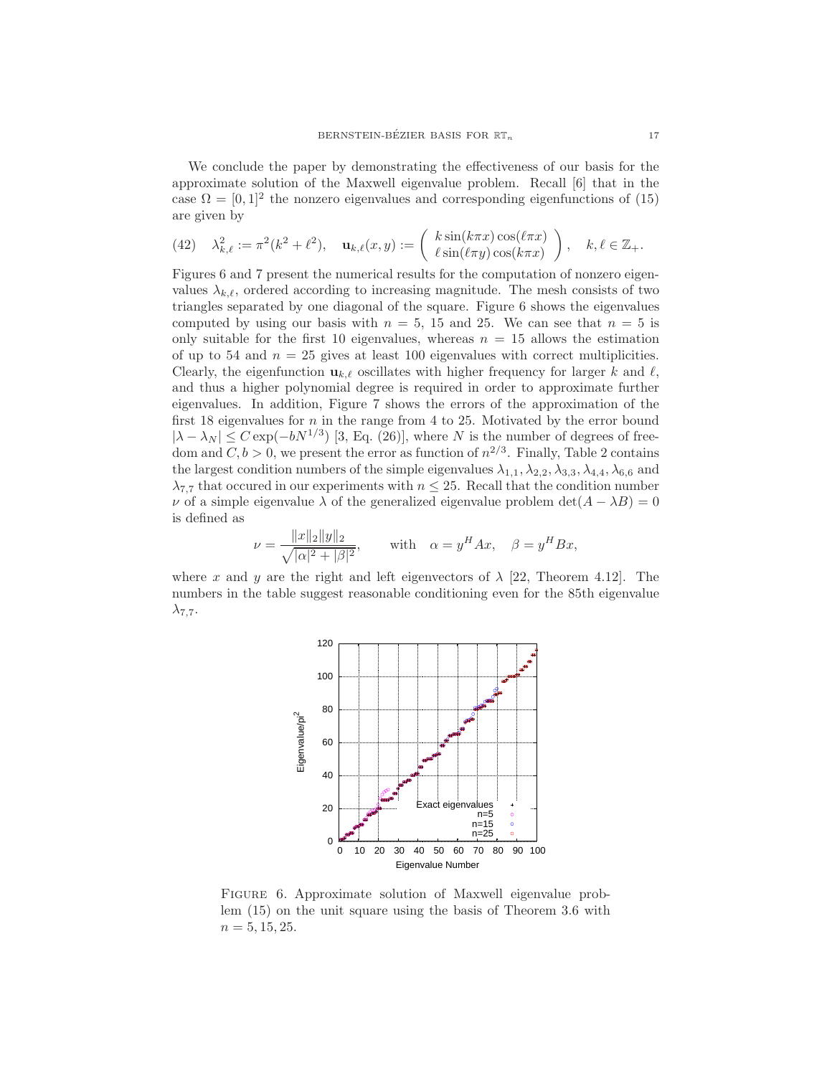We conclude the paper by demonstrating the effectiveness of our basis for the approximate solution of the Maxwell eigenvalue problem. Recall [6] that in the case  $\Omega = [0, 1]^2$  the nonzero eigenvalues and corresponding eigenfunctions of (15) are given by

(42) 
$$
\lambda_{k,\ell}^2 := \pi^2(k^2 + \ell^2), \quad \mathbf{u}_{k,\ell}(x,y) := \begin{pmatrix} k \sin(k\pi x) \cos(\ell \pi x) \\ \ell \sin(\ell \pi y) \cos(k\pi x) \end{pmatrix}, \quad k,\ell \in \mathbb{Z}_+.
$$

Figures 6 and 7 present the numerical results for the computation of nonzero eigenvalues  $\lambda_{k,\ell}$ , ordered according to increasing magnitude. The mesh consists of two triangles separated by one diagonal of the square. Figure 6 shows the eigenvalues computed by using our basis with  $n = 5$ , 15 and 25. We can see that  $n = 5$  is only suitable for the first 10 eigenvalues, whereas  $n = 15$  allows the estimation of up to 54 and  $n = 25$  gives at least 100 eigenvalues with correct multiplicities. Clearly, the eigenfunction  $\mathbf{u}_{k,\ell}$  oscillates with higher frequency for larger k and  $\ell$ , and thus a higher polynomial degree is required in order to approximate further eigenvalues. In addition, Figure 7 shows the errors of the approximation of the first 18 eigenvalues for  $n$  in the range from 4 to 25. Motivated by the error bound  $|\lambda - \lambda_N| \leq C \exp(-bN^{1/3})$  [3, Eq. (26)], where N is the number of degrees of freedom and  $C, b > 0$ , we present the error as function of  $n^{2/3}$ . Finally, Table 2 contains the largest condition numbers of the simple eigenvalues  $\lambda_{1,1}, \lambda_{2,2}, \lambda_{3,3}, \lambda_{4,4}, \lambda_{6,6}$  and  $\lambda_{7,7}$  that occured in our experiments with  $n \leq 25$ . Recall that the condition number v of a simple eigenvalue  $\lambda$  of the generalized eigenvalue problem det $(A - \lambda B) = 0$ is defined as

$$
\nu = \frac{\|x\|_2 \|y\|_2}{\sqrt{|\alpha|^2 + |\beta|^2}}, \quad \text{with} \quad \alpha = y^H A x, \quad \beta = y^H B x,
$$

where x and y are the right and left eigenvectors of  $\lambda$  [22, Theorem 4.12]. The numbers in the table suggest reasonable conditioning even for the 85th eigenvalue  $\lambda_{7,7}$ .



FIGURE 6. Approximate solution of Maxwell eigenvalue problem (15) on the unit square using the basis of Theorem 3.6 with  $n = 5, 15, 25.$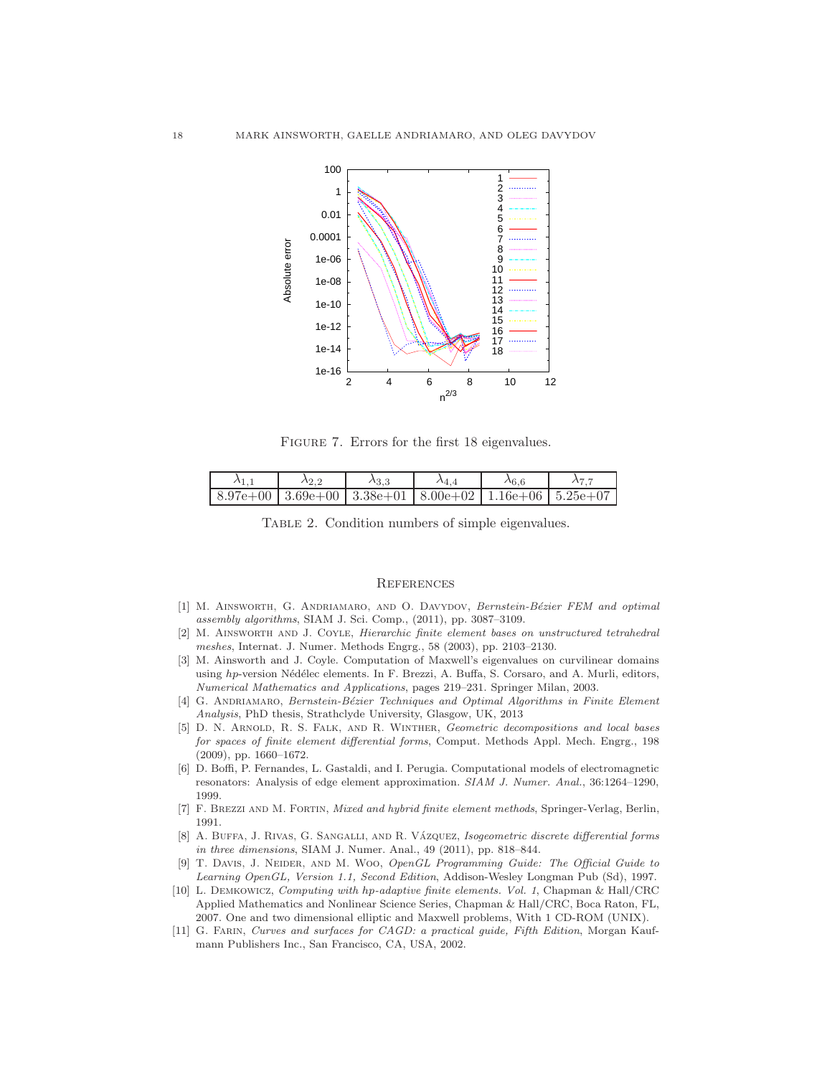

Figure 7. Errors for the first 18 eigenvalues.

| $8.97e+00$   $3.69e+00$   $3.38e+01$   $8.00e+02$   $1.16e+06$   $5.25e+07$ |  |  |  |
|-----------------------------------------------------------------------------|--|--|--|

Table 2. Condition numbers of simple eigenvalues.

#### **REFERENCES**

- [1] M. AINSWORTH, G. ANDRIAMARO, AND O. DAVYDOV, Bernstein-Bézier FEM and optimal assembly algorithms, SIAM J. Sci. Comp., (2011), pp. 3087–3109.
- [2] M. Ainsworth and J. Coyle, Hierarchic finite element bases on unstructured tetrahedral meshes, Internat. J. Numer. Methods Engrg., 58 (2003), pp. 2103–2130.
- [3] M. Ainsworth and J. Coyle. Computation of Maxwell's eigenvalues on curvilinear domains using hp-version Nédélec elements. In F. Brezzi, A. Buffa, S. Corsaro, and A. Murli, editors, Numerical Mathematics and Applications, pages 219–231. Springer Milan, 2003.
- [4] G. ANDRIAMARO, Bernstein-Bézier Techniques and Optimal Algorithms in Finite Element Analysis, PhD thesis, Strathclyde University, Glasgow, UK, 2013
- [5] D. N. Arnold, R. S. Falk, and R. Winther, Geometric decompositions and local bases for spaces of finite element differential forms, Comput. Methods Appl. Mech. Engrg., 198 (2009), pp. 1660–1672.
- [6] D. Boffi, P. Fernandes, L. Gastaldi, and I. Perugia. Computational models of electromagnetic resonators: Analysis of edge element approximation. SIAM J. Numer. Anal., 36:1264–1290, 1999.
- [7] F. BREZZI AND M. FORTIN, Mixed and hybrid finite element methods, Springer-Verlag, Berlin, 1991.
- [8] A. BUFFA, J. RIVAS, G. SANGALLI, AND R. VÁZQUEZ, *Isogeometric discrete differential forms* in three dimensions, SIAM J. Numer. Anal., 49 (2011), pp. 818–844.
- [9] T. DAVIS, J. NEIDER, AND M. WOO, OpenGL Programming Guide: The Official Guide to Learning OpenGL, Version 1.1, Second Edition, Addison-Wesley Longman Pub (Sd), 1997.
- [10] L. Demkowicz, Computing with hp-adaptive finite elements. Vol. 1, Chapman & Hall/CRC Applied Mathematics and Nonlinear Science Series, Chapman & Hall/CRC, Boca Raton, FL, 2007. One and two dimensional elliptic and Maxwell problems, With 1 CD-ROM (UNIX).
- [11] G. FARIN, Curves and surfaces for CAGD: a practical guide, Fifth Edition, Morgan Kaufmann Publishers Inc., San Francisco, CA, USA, 2002.